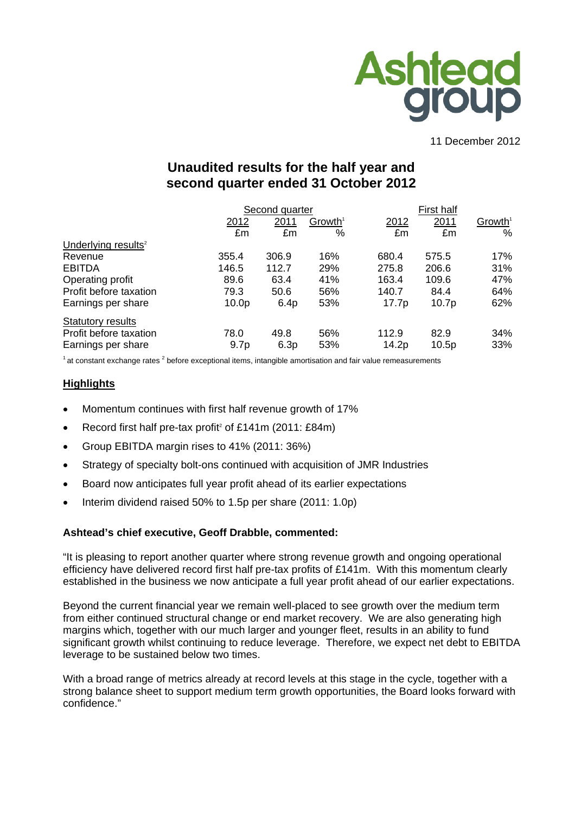

#### 11 December 2012

# **Unaudited results for the half year and second quarter ended 31 October 2012**

|                                 |                   | Second quarter |                     |       | First half        |                     |  |  |
|---------------------------------|-------------------|----------------|---------------------|-------|-------------------|---------------------|--|--|
|                                 | 2012              | 2011           | Growth <sup>1</sup> | 2012  | 2011              | Growth <sup>1</sup> |  |  |
|                                 | £m                | £m             | %                   | £m    | £m                | %                   |  |  |
| Underlying results <sup>2</sup> |                   |                |                     |       |                   |                     |  |  |
| Revenue                         | 355.4             | 306.9          | 16%                 | 680.4 | 575.5             | 17%                 |  |  |
| <b>EBITDA</b>                   | 146.5             | 112.7          | <b>29%</b>          | 275.8 | 206.6             | 31%                 |  |  |
| Operating profit                | 89.6              | 63.4           | 41%                 | 163.4 | 109.6             | 47%                 |  |  |
| Profit before taxation          | 79.3              | 50.6           | 56%                 | 140.7 | 84.4              | 64%                 |  |  |
| Earnings per share              | 10.0 <sub>p</sub> | 6.4p           | 53%                 | 17.7p | 10.7 <sub>p</sub> | 62%                 |  |  |
| Statutory results               |                   |                |                     |       |                   |                     |  |  |
| Profit before taxation          | 78.0              | 49.8           | 56%                 | 112.9 | 82.9              | 34%                 |  |  |
| Earnings per share              | 9.7 <sub>p</sub>  | 6.3p           | 53%                 | 14.2p | 10.5p             | 33%                 |  |  |

 $1$  at constant exchange rates  $2$  before exceptional items, intangible amortisation and fair value remeasurements

#### **Highlights**

- Momentum continues with first half revenue growth of 17%
- Record first half pre-tax profit<sup>2</sup> of £141m (2011: £84m)
- Group EBITDA margin rises to 41% (2011: 36%)
- Strategy of specialty bolt-ons continued with acquisition of JMR Industries
- Board now anticipates full year profit ahead of its earlier expectations
- Interim dividend raised 50% to 1.5p per share (2011: 1.0p)

#### **Ashtead's chief executive, Geoff Drabble, commented:**

"It is pleasing to report another quarter where strong revenue growth and ongoing operational efficiency have delivered record first half pre-tax profits of £141m. With this momentum clearly established in the business we now anticipate a full year profit ahead of our earlier expectations.

Beyond the current financial year we remain well-placed to see growth over the medium term from either continued structural change or end market recovery. We are also generating high margins which, together with our much larger and younger fleet, results in an ability to fund significant growth whilst continuing to reduce leverage. Therefore, we expect net debt to EBITDA leverage to be sustained below two times.

With a broad range of metrics already at record levels at this stage in the cycle, together with a strong balance sheet to support medium term growth opportunities, the Board looks forward with confidence."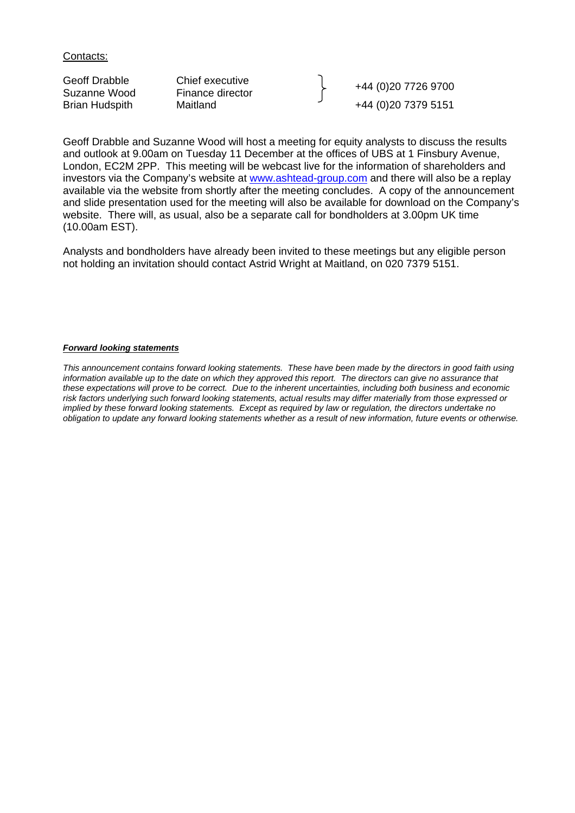Contacts:

| Geoff Drabble<br>Suzanne Wood | Chief executive<br>Finance director | +44 (0)20 7726 9700  |
|-------------------------------|-------------------------------------|----------------------|
| <b>Brian Hudspith</b>         | Maitland                            | +44 (0) 20 7379 5151 |

Geoff Drabble and Suzanne Wood will host a meeting for equity analysts to discuss the results and outlook at 9.00am on Tuesday 11 December at the offices of UBS at 1 Finsbury Avenue, London, EC2M 2PP. This meeting will be webcast live for the information of shareholders and investors via the Company's website at www.ashtead-group.com and there will also be a replay available via the website from shortly after the meeting concludes. A copy of the announcement and slide presentation used for the meeting will also be available for download on the Company's website. There will, as usual, also be a separate call for bondholders at 3.00pm UK time (10.00am EST).

Analysts and bondholders have already been invited to these meetings but any eligible person not holding an invitation should contact Astrid Wright at Maitland, on 020 7379 5151.

#### *Forward looking statements*

*This announcement contains forward looking statements. These have been made by the directors in good faith using information available up to the date on which they approved this report. The directors can give no assurance that these expectations will prove to be correct. Due to the inherent uncertainties, including both business and economic risk factors underlying such forward looking statements, actual results may differ materially from those expressed or implied by these forward looking statements. Except as required by law or regulation, the directors undertake no obligation to update any forward looking statements whether as a result of new information, future events or otherwise.*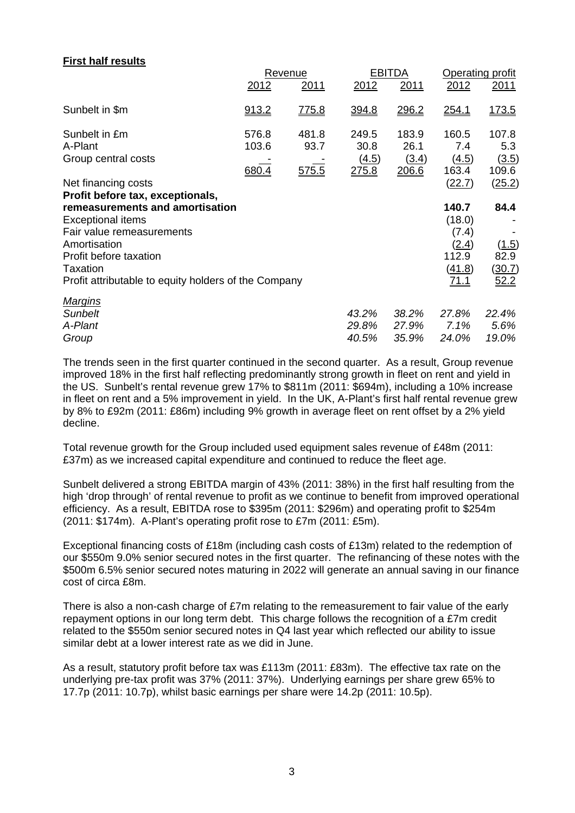### **First half results**

|                                                                                                                                                                                                                                            |                         | Revenue                |                                 | <b>EBITDA</b>                   | Operating profit                                                    |                                         |
|--------------------------------------------------------------------------------------------------------------------------------------------------------------------------------------------------------------------------------------------|-------------------------|------------------------|---------------------------------|---------------------------------|---------------------------------------------------------------------|-----------------------------------------|
|                                                                                                                                                                                                                                            | 2012                    | 2011                   | 2012                            | <u>2011</u>                     | 2012                                                                | 2011                                    |
| Sunbelt in \$m                                                                                                                                                                                                                             | 913.2                   | <u>775.8</u>           | 394.8                           | 296.2                           | <u>254.1</u>                                                        | <u>173.5</u>                            |
| Sunbelt in £m<br>A-Plant<br>Group central costs                                                                                                                                                                                            | 576.8<br>103.6<br>680.4 | 481.8<br>93.7<br>575.5 | 249.5<br>30.8<br>(4.5)<br>275.8 | 183.9<br>26.1<br>(3.4)<br>206.6 | 160.5<br>7.4<br>(4.5)<br>163.4                                      | 107.8<br>5.3<br>(3.5)<br>109.6          |
| Net financing costs                                                                                                                                                                                                                        |                         |                        |                                 |                                 | (22.7)                                                              | (25.2)                                  |
| Profit before tax, exceptionals,<br>remeasurements and amortisation<br><b>Exceptional items</b><br>Fair value remeasurements<br>Amortisation<br>Profit before taxation<br>Taxation<br>Profit attributable to equity holders of the Company |                         |                        |                                 |                                 | 140.7<br>(18.0)<br>(7.4)<br>(2.4)<br>112.9<br>(41.8)<br><u>71.1</u> | 84.4<br>(1.5)<br>82.9<br>(30.7)<br>52.2 |
| <b>Margins</b><br><b>Sunbelt</b><br>A-Plant<br>Group                                                                                                                                                                                       |                         |                        | 43.2%<br>29.8%<br>40.5%         | 38.2%<br>27.9%<br>35.9%         | 27.8%<br>7.1%<br>24.0%                                              | 22.4%<br>5.6%<br>19.0%                  |

The trends seen in the first quarter continued in the second quarter. As a result, Group revenue improved 18% in the first half reflecting predominantly strong growth in fleet on rent and yield in the US. Sunbelt's rental revenue grew 17% to \$811m (2011: \$694m), including a 10% increase in fleet on rent and a 5% improvement in yield. In the UK, A-Plant's first half rental revenue grew by 8% to £92m (2011: £86m) including 9% growth in average fleet on rent offset by a 2% yield decline.

Total revenue growth for the Group included used equipment sales revenue of £48m (2011: £37m) as we increased capital expenditure and continued to reduce the fleet age.

Sunbelt delivered a strong EBITDA margin of 43% (2011: 38%) in the first half resulting from the high 'drop through' of rental revenue to profit as we continue to benefit from improved operational efficiency. As a result, EBITDA rose to \$395m (2011: \$296m) and operating profit to \$254m (2011: \$174m). A-Plant's operating profit rose to £7m (2011: £5m).

Exceptional financing costs of £18m (including cash costs of £13m) related to the redemption of our \$550m 9.0% senior secured notes in the first quarter. The refinancing of these notes with the \$500m 6.5% senior secured notes maturing in 2022 will generate an annual saving in our finance cost of circa £8m.

There is also a non-cash charge of £7m relating to the remeasurement to fair value of the early repayment options in our long term debt. This charge follows the recognition of a £7m credit related to the \$550m senior secured notes in Q4 last year which reflected our ability to issue similar debt at a lower interest rate as we did in June.

As a result, statutory profit before tax was £113m (2011: £83m). The effective tax rate on the underlying pre-tax profit was 37% (2011: 37%). Underlying earnings per share grew 65% to 17.7p (2011: 10.7p), whilst basic earnings per share were 14.2p (2011: 10.5p).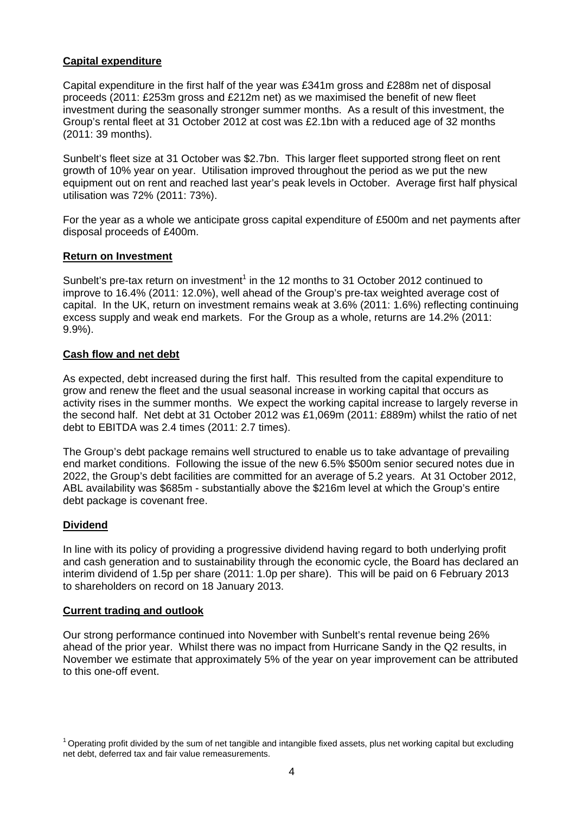#### **Capital expenditure**

Capital expenditure in the first half of the year was £341m gross and £288m net of disposal proceeds (2011: £253m gross and £212m net) as we maximised the benefit of new fleet investment during the seasonally stronger summer months. As a result of this investment, the Group's rental fleet at 31 October 2012 at cost was £2.1bn with a reduced age of 32 months (2011: 39 months).

Sunbelt's fleet size at 31 October was \$2.7bn. This larger fleet supported strong fleet on rent growth of 10% year on year. Utilisation improved throughout the period as we put the new equipment out on rent and reached last year's peak levels in October. Average first half physical utilisation was 72% (2011: 73%).

For the year as a whole we anticipate gross capital expenditure of £500m and net payments after disposal proceeds of £400m.

#### **Return on Investment**

Sunbelt's pre-tax return on investment<sup>1</sup> in the 12 months to 31 October 2012 continued to improve to 16.4% (2011: 12.0%), well ahead of the Group's pre-tax weighted average cost of capital. In the UK, return on investment remains weak at 3.6% (2011: 1.6%) reflecting continuing excess supply and weak end markets. For the Group as a whole, returns are 14.2% (2011: 9.9%).

### **Cash flow and net debt**

As expected, debt increased during the first half. This resulted from the capital expenditure to grow and renew the fleet and the usual seasonal increase in working capital that occurs as activity rises in the summer months. We expect the working capital increase to largely reverse in the second half. Net debt at 31 October 2012 was £1,069m (2011: £889m) whilst the ratio of net debt to EBITDA was 2.4 times (2011: 2.7 times).

The Group's debt package remains well structured to enable us to take advantage of prevailing end market conditions. Following the issue of the new 6.5% \$500m senior secured notes due in 2022, the Group's debt facilities are committed for an average of 5.2 years. At 31 October 2012, ABL availability was \$685m - substantially above the \$216m level at which the Group's entire debt package is covenant free.

#### **Dividend**

In line with its policy of providing a progressive dividend having regard to both underlying profit and cash generation and to sustainability through the economic cycle, the Board has declared an interim dividend of 1.5p per share (2011: 1.0p per share). This will be paid on 6 February 2013 to shareholders on record on 18 January 2013.

#### **Current trading and outlook**

Our strong performance continued into November with Sunbelt's rental revenue being 26% ahead of the prior year. Whilst there was no impact from Hurricane Sandy in the Q2 results, in November we estimate that approximately 5% of the year on year improvement can be attributed to this one-off event.

 $1$  Operating profit divided by the sum of net tangible and intangible fixed assets, plus net working capital but excluding net debt, deferred tax and fair value remeasurements.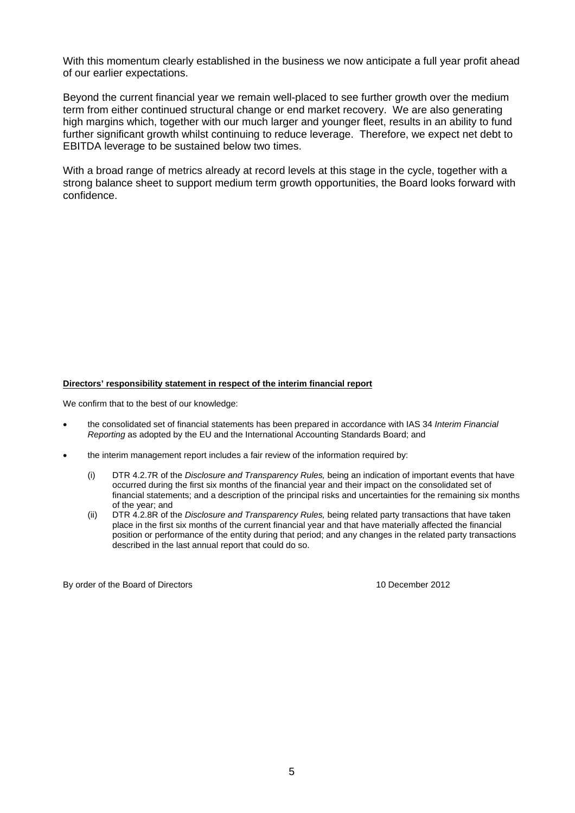With this momentum clearly established in the business we now anticipate a full year profit ahead of our earlier expectations.

Beyond the current financial year we remain well-placed to see further growth over the medium term from either continued structural change or end market recovery. We are also generating high margins which, together with our much larger and younger fleet, results in an ability to fund further significant growth whilst continuing to reduce leverage. Therefore, we expect net debt to EBITDA leverage to be sustained below two times.

With a broad range of metrics already at record levels at this stage in the cycle, together with a strong balance sheet to support medium term growth opportunities, the Board looks forward with confidence.

#### **Directors' responsibility statement in respect of the interim financial report**

We confirm that to the best of our knowledge:

- the consolidated set of financial statements has been prepared in accordance with IAS 34 *Interim Financial Reporting* as adopted by the EU and the International Accounting Standards Board; and
- the interim management report includes a fair review of the information required by:
	- (i) DTR 4.2.7R of the *Disclosure and Transparency Rules,* being an indication of important events that have occurred during the first six months of the financial year and their impact on the consolidated set of financial statements; and a description of the principal risks and uncertainties for the remaining six months of the year; and
	- (ii) DTR 4.2.8R of the *Disclosure and Transparency Rules,* being related party transactions that have taken place in the first six months of the current financial year and that have materially affected the financial position or performance of the entity during that period; and any changes in the related party transactions described in the last annual report that could do so.

By order of the Board of Directors 10 December 2012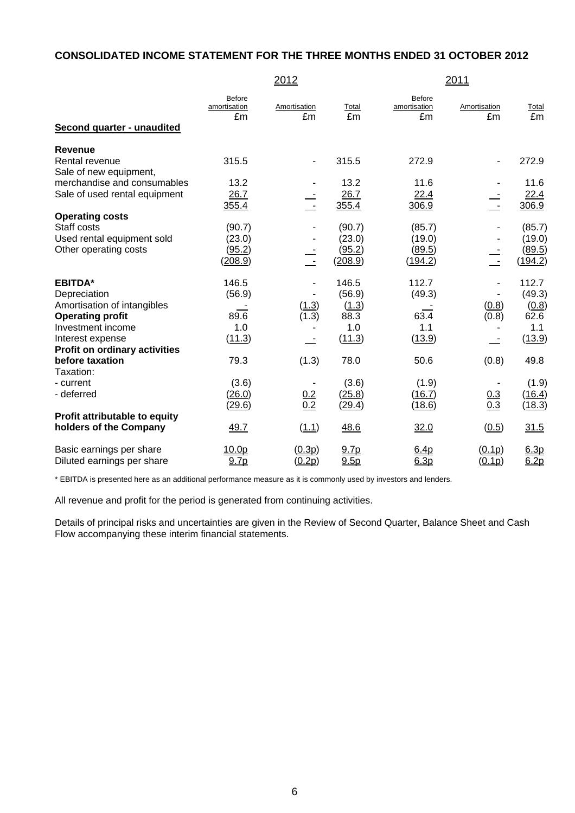### **CONSOLIDATED INCOME STATEMENT FOR THE THREE MONTHS ENDED 31 OCTOBER 2012**

|                                          | 2012                                |                          |               |                              | 2011                     |               |  |
|------------------------------------------|-------------------------------------|--------------------------|---------------|------------------------------|--------------------------|---------------|--|
| Second quarter - unaudited               | <b>Before</b><br>amortisation<br>£m | Amortisation<br>£m       | Total<br>£m   | Before<br>amortisation<br>£m | Amortisation<br>£m       | Total<br>£m   |  |
| <b>Revenue</b>                           |                                     |                          |               |                              |                          |               |  |
| Rental revenue<br>Sale of new equipment, | 315.5                               | $\overline{\phantom{m}}$ | 315.5         | 272.9                        | $\overline{\phantom{a}}$ | 272.9         |  |
| merchandise and consumables              | 13.2                                |                          | 13.2          | 11.6                         |                          | 11.6          |  |
| Sale of used rental equipment            | 26.7<br>355.4                       | $\mathbb{R}$             | 26.7<br>355.4 | 22.4<br>306.9                |                          | 22.4<br>306.9 |  |
| <b>Operating costs</b>                   |                                     |                          |               |                              |                          |               |  |
| Staff costs                              | (90.7)                              |                          | (90.7)        | (85.7)                       |                          | (85.7)        |  |
| Used rental equipment sold               | (23.0)                              |                          | (23.0)        | (19.0)                       |                          | (19.0)        |  |
| Other operating costs                    | (95.2)                              |                          | (95.2)        | (89.5)                       |                          | (89.5)        |  |
|                                          | (208.9)                             | $\sim$ $-$               | (208.9)       | <u>(194.2)</u>               | $\sim$                   | (194.2)       |  |
| <b>EBITDA*</b>                           | 146.5                               |                          | 146.5         | 112.7                        |                          | 112.7         |  |
| Depreciation                             | (56.9)                              |                          | (56.9)        | (49.3)                       |                          | (49.3)        |  |
| Amortisation of intangibles              |                                     | (1.3)                    | (1.3)         |                              | (0.8)                    | (0.8)         |  |
| <b>Operating profit</b>                  | 89.6                                | (1.3)                    | 88.3          | 63.4                         | (0.8)                    | 62.6          |  |
| Investment income                        | 1.0                                 |                          | 1.0           | 1.1                          |                          | 1.1           |  |
| Interest expense                         | (11.3)                              |                          | (11.3)        | (13.9)                       |                          | (13.9)        |  |
| <b>Profit on ordinary activities</b>     |                                     |                          |               |                              |                          |               |  |
| before taxation<br>Taxation:             | 79.3                                | (1.3)                    | 78.0          | 50.6                         | (0.8)                    | 49.8          |  |
| - current                                | (3.6)                               |                          | (3.6)         | (1.9)                        |                          | (1.9)         |  |
| - deferred                               | (26.0)                              |                          | (25.8)        | (16.7)                       | 0.3                      | (16.4)        |  |
|                                          | (29.6)                              | $\frac{0.2}{0.2}$        | (29.4)        | (18.6)                       | $\overline{0.3}$         | (18.3)        |  |
| Profit attributable to equity            |                                     |                          |               |                              |                          |               |  |
| holders of the Company                   | 49.7                                | (1.1)                    | 48.6          | 32.0                         | (0.5)                    | 31.5          |  |
| Basic earnings per share                 | 10.0p                               | (0.3p)                   | 9.7p          | 6.4p                         | (0.1p)                   | 6.3p          |  |
| Diluted earnings per share               | 9.7p                                | (0.2p)                   | 9.5p          | 6.3p                         | (0.1p)                   | 6.2p          |  |

\* EBITDA is presented here as an additional performance measure as it is commonly used by investors and lenders.

All revenue and profit for the period is generated from continuing activities.

Details of principal risks and uncertainties are given in the Review of Second Quarter, Balance Sheet and Cash Flow accompanying these interim financial statements.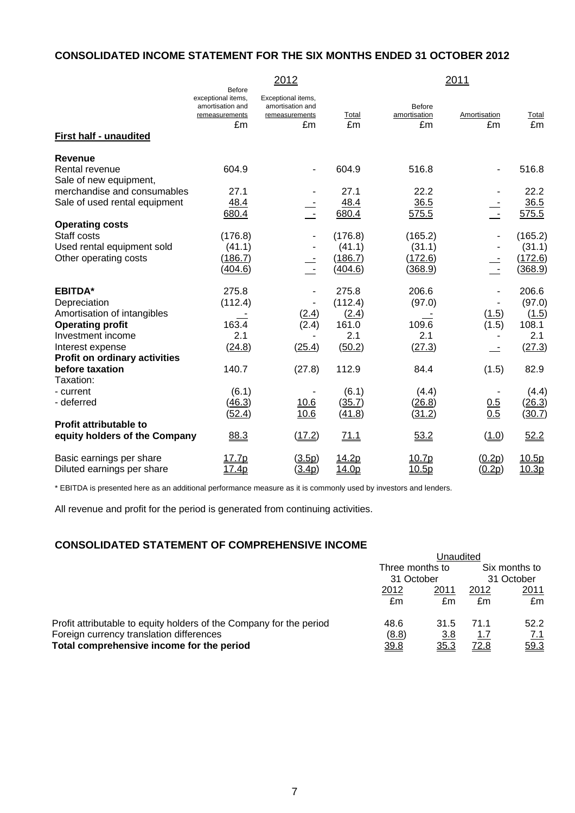### **CONSOLIDATED INCOME STATEMENT FOR THE SIX MONTHS ENDED 31 OCTOBER 2012**

|                                                                                                                                   |                                                                                 | 2012                                                           |                                                     |                                                | 2011                     |                                                    |
|-----------------------------------------------------------------------------------------------------------------------------------|---------------------------------------------------------------------------------|----------------------------------------------------------------|-----------------------------------------------------|------------------------------------------------|--------------------------|----------------------------------------------------|
| First half - unaudited                                                                                                            | <b>Before</b><br>exceptional items,<br>amortisation and<br>remeasurements<br>£m | Exceptional items,<br>amortisation and<br>remeasurements<br>£m | Total<br>£m                                         | <b>Before</b><br>amortisation<br>£m            | Amortisation<br>£m       | Total<br>£m                                        |
| Revenue<br>Rental revenue<br>Sale of new equipment,                                                                               | 604.9                                                                           |                                                                | 604.9                                               | 516.8                                          | $\overline{\phantom{a}}$ | 516.8                                              |
| merchandise and consumables<br>Sale of used rental equipment                                                                      | 27.1<br>48.4<br>680.4                                                           | $\frac{1}{2}$                                                  | 27.1<br>48.4<br>680.4                               | 22.2<br>36.5<br>575.5                          |                          | 22.2<br>36.5<br>575.5                              |
| <b>Operating costs</b><br>Staff costs<br>Used rental equipment sold<br>Other operating costs                                      | (176.8)<br>(41.1)<br>(186.7)<br>(404.6)                                         |                                                                | (176.8)<br>(41.1)<br>(186.7)<br>(404.6)             | (165.2)<br>(31.1)<br>(172.6)<br><u>(368.9)</u> |                          | (165.2)<br>(31.1)<br>(172.6)<br>(368.9)            |
| <b>EBITDA*</b><br>Depreciation<br>Amortisation of intangibles<br><b>Operating profit</b><br>Investment income<br>Interest expense | 275.8<br>(112.4)<br>163.4<br>2.1<br>(24.8)                                      | (2.4)<br>(2.4)<br>(25.4)                                       | 275.8<br>(112.4)<br>(2.4)<br>161.0<br>2.1<br>(50.2) | 206.6<br>(97.0)<br>109.6<br>2.1<br>(27.3)      | (1.5)<br>(1.5)           | 206.6<br>(97.0)<br>(1.5)<br>108.1<br>2.1<br>(27.3) |
| <b>Profit on ordinary activities</b><br>before taxation<br>Taxation:<br>- current<br>- deferred                                   | 140.7<br>(6.1)<br>(46.3)                                                        | (27.8)<br>10.6                                                 | 112.9<br>(6.1)<br>(35.7)                            | 84.4<br>(4.4)<br>(26.8)                        | (1.5)<br>0.5<br>0.5      | 82.9<br>(4.4)<br>(26.3)                            |
| <b>Profit attributable to</b><br>equity holders of the Company                                                                    | (52.4)<br>88.3                                                                  | 10.6<br>(17.2)                                                 | (41.8)<br>71.1                                      | (31.2)<br>53.2                                 | (1.0)                    | (30.7)<br>52.2                                     |
| Basic earnings per share<br>Diluted earnings per share                                                                            | 17.7p<br>17.4p                                                                  | (3.5p)<br>(3.4p)                                               | 14.2p<br>14.0p                                      | 10.7p<br>10.5p                                 | (0.2p)<br>(0.2p)         | 10.5p<br>10.3p                                     |

\* EBITDA is presented here as an additional performance measure as it is commonly used by investors and lenders.

All revenue and profit for the period is generated from continuing activities.

## **CONSOLIDATED STATEMENT OF COMPREHENSIVE INCOME**

|                                                                     | Unaudited                     |             |                             |      |
|---------------------------------------------------------------------|-------------------------------|-------------|-----------------------------|------|
|                                                                     | Three months to<br>31 October |             | Six months to<br>31 October |      |
|                                                                     |                               |             |                             |      |
|                                                                     | 2012                          | 2011        | 2012                        | 2011 |
|                                                                     | £m                            | £m          | £m                          | £m   |
| Profit attributable to equity holders of the Company for the period | 48.6                          | 31.5        | 71.1                        | 52.2 |
| Foreign currency translation differences                            | (8.8)                         | <u>3.8</u>  | <u>1.7</u>                  | 7.1  |
| Total comprehensive income for the period                           | 39.8                          | <u>35.3</u> | <u>72.8</u>                 | 59.3 |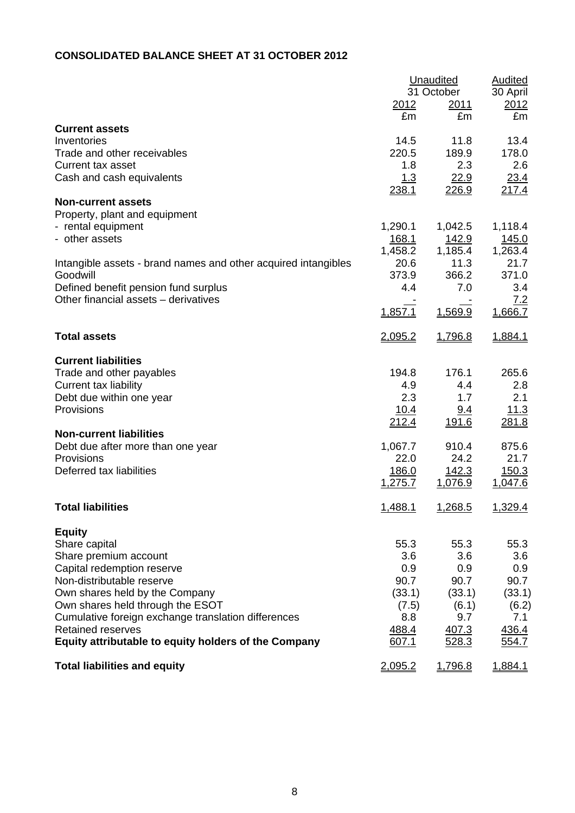# **CONSOLIDATED BALANCE SHEET AT 31 OCTOBER 2012**

|                                                                |         | <b>Unaudited</b>   | <b>Audited</b>   |
|----------------------------------------------------------------|---------|--------------------|------------------|
|                                                                | 2012    | 31 October<br>2011 | 30 April<br>2012 |
|                                                                | £m      | £m                 | £m               |
| <b>Current assets</b>                                          |         |                    |                  |
| Inventories                                                    | 14.5    | 11.8               | 13.4             |
| Trade and other receivables                                    | 220.5   | 189.9              | 178.0            |
| Current tax asset                                              | 1.8     | 2.3                | 2.6              |
| Cash and cash equivalents                                      | 1.3     | 22.9               | 23.4             |
|                                                                | 238.1   | 226.9              | <u> 217.4</u>    |
| <b>Non-current assets</b>                                      |         |                    |                  |
| Property, plant and equipment                                  |         |                    |                  |
| - rental equipment                                             | 1,290.1 | 1,042.5            | 1,118.4          |
| - other assets                                                 | 168.1   | <u>142.9</u>       | <u> 145.0</u>    |
|                                                                | 1,458.2 | 1,185.4            | 1,263.4          |
| Intangible assets - brand names and other acquired intangibles | 20.6    | 11.3               | 21.7             |
| Goodwill                                                       | 373.9   | 366.2              | 371.0            |
| Defined benefit pension fund surplus                           | 4.4     | 7.0                | 3.4              |
| Other financial assets - derivatives                           |         |                    | 7.2              |
|                                                                | 1,857.1 | 1,569.9            | 1,666.7          |
|                                                                |         |                    |                  |
| <b>Total assets</b>                                            | 2,095.2 | 1,796.8            | 1,884.1          |
| <b>Current liabilities</b>                                     |         |                    |                  |
| Trade and other payables                                       | 194.8   | 176.1              | 265.6            |
| Current tax liability                                          | 4.9     | 4.4                | 2.8              |
| Debt due within one year                                       | 2.3     | 1.7                | 2.1              |
| Provisions                                                     | 10.4    | <u>9.4</u>         | 11.3             |
|                                                                | 212.4   | 191.6              | 281.8            |
| <b>Non-current liabilities</b>                                 |         |                    |                  |
| Debt due after more than one year                              | 1,067.7 | 910.4              | 875.6            |
| Provisions                                                     | 22.0    | 24.2               | 21.7             |
| Deferred tax liabilities                                       | 186.0   | 142.3              | 150.3            |
|                                                                | 1,275.7 | 1,076.9            | 1,047.6          |
| <b>Total liabilities</b>                                       | 1,488.1 | 1,268.5            | 1,329.4          |
|                                                                |         |                    |                  |
| <b>Equity</b>                                                  |         |                    |                  |
| Share capital                                                  | 55.3    | 55.3               | 55.3             |
| Share premium account                                          | 3.6     | 3.6                | 3.6              |
| Capital redemption reserve                                     | 0.9     | 0.9                | 0.9              |
| Non-distributable reserve                                      | 90.7    | 90.7               | 90.7             |
| Own shares held by the Company                                 | (33.1)  | (33.1)             | (33.1)           |
| Own shares held through the ESOT                               | (7.5)   | (6.1)              | (6.2)            |
| Cumulative foreign exchange translation differences            | 8.8     | 9.7                | 7.1              |
| <b>Retained reserves</b>                                       | 488.4   | 407.3              | 436.4            |
| Equity attributable to equity holders of the Company           | 607.1   | 528.3              | <u>554.7</u>     |
| <b>Total liabilities and equity</b>                            | 2,095.2 | 1,796.8            | 1,884.1          |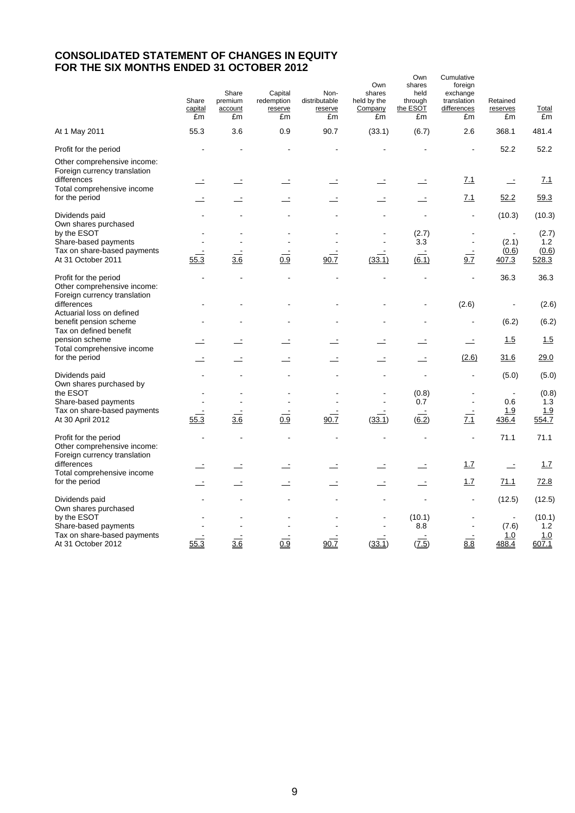### **CONSOLIDATED STATEMENT OF CHANGES IN EQUITY FOR THE SIX MONTHS ENDED 31 OCTOBER 2012**

|                                                                                          | Share<br>capital<br>£m | Share<br>premium<br>account<br>£m | Capital<br>redemption<br>reserve<br>£m | Non-<br>distributable<br>reserve<br>£m | Own<br>shares<br>held by the<br>Company<br>£m | Own<br>shares<br>held<br>through<br>the ESOT<br>£m | Cumulative<br>foreign<br>exchange<br>translation<br>differences<br>£m | Retained<br>reserves<br>£m              | Total<br>£m                   |
|------------------------------------------------------------------------------------------|------------------------|-----------------------------------|----------------------------------------|----------------------------------------|-----------------------------------------------|----------------------------------------------------|-----------------------------------------------------------------------|-----------------------------------------|-------------------------------|
| At 1 May 2011                                                                            | 55.3                   | 3.6                               | 0.9                                    | 90.7                                   | (33.1)                                        | (6.7)                                              | 2.6                                                                   | 368.1                                   | 481.4                         |
| Profit for the period                                                                    |                        |                                   |                                        |                                        |                                               |                                                    |                                                                       | 52.2                                    | 52.2                          |
| Other comprehensive income:<br>Foreign currency translation<br>differences               |                        |                                   |                                        |                                        |                                               |                                                    | 7.1                                                                   | $\equiv$                                | 7.1                           |
| Total comprehensive income<br>for the period                                             |                        |                                   |                                        |                                        |                                               |                                                    | 7.1                                                                   | 52.2                                    | 59.3                          |
| Dividends paid<br>Own shares purchased                                                   |                        |                                   |                                        |                                        | ä,                                            | $\overline{a}$                                     | $\blacksquare$                                                        | (10.3)                                  | (10.3)                        |
| by the ESOT<br>Share-based payments                                                      |                        |                                   |                                        |                                        |                                               | (2.7)<br>3.3                                       |                                                                       | (2.1)                                   | (2.7)<br>1.2                  |
| Tax on share-based payments<br>At 31 October 2011                                        | 55.3                   | $\overline{3.6}$                  | 0.9                                    | 90.7                                   | (33.1)                                        | $\overline{(6.1)}$                                 | 9.7                                                                   | (0.6)<br>407.3                          | (0.6)<br>528.3                |
| Profit for the period<br>Other comprehensive income:<br>Foreign currency translation     |                        |                                   |                                        |                                        |                                               |                                                    | ä,                                                                    | 36.3                                    | 36.3                          |
| differences<br>Actuarial loss on defined                                                 |                        |                                   |                                        |                                        |                                               | L,                                                 | (2.6)                                                                 | $\ddot{\phantom{0}}$                    | (2.6)                         |
| benefit pension scheme<br>Tax on defined benefit                                         |                        |                                   |                                        |                                        |                                               |                                                    | ÷,                                                                    | (6.2)                                   | (6.2)                         |
| pension scheme<br>Total comprehensive income                                             |                        |                                   |                                        |                                        |                                               |                                                    | $\equiv$                                                              | 1.5                                     | 1.5                           |
| for the period                                                                           |                        |                                   |                                        |                                        |                                               |                                                    | (2.6)                                                                 | 31.6                                    | 29.0                          |
| Dividends paid<br>Own shares purchased by                                                |                        |                                   |                                        |                                        |                                               |                                                    | $\overline{a}$                                                        | (5.0)                                   | (5.0)                         |
| the ESOT<br>Share-based payments                                                         |                        |                                   |                                        |                                        |                                               | (0.8)<br>0.7                                       | $\blacksquare$                                                        | $\blacksquare$<br>0.6                   | (0.8)<br>1.3                  |
| Tax on share-based payments<br>At 30 April 2012                                          | 55.3                   | 3.6                               | 0.9                                    | 90.7                                   | (33.1)                                        | 6.2)                                               | 7.1                                                                   | <u>1.9</u><br>436.4                     | 1.9<br>554.7                  |
| Profit for the period<br>Other comprehensive income:<br>Foreign currency translation     |                        |                                   |                                        |                                        | L,                                            | $\overline{a}$                                     | $\blacksquare$                                                        | 71.1                                    | 71.1                          |
| differences<br>Total comprehensive income                                                |                        |                                   |                                        |                                        |                                               |                                                    | 1.7                                                                   | $\overline{a}$                          | 1.7                           |
| for the period                                                                           |                        |                                   |                                        |                                        |                                               |                                                    | 1.7                                                                   | 71.1                                    | 72.8                          |
| Dividends paid<br>Own shares purchased                                                   |                        |                                   |                                        |                                        |                                               |                                                    | $\blacksquare$                                                        | (12.5)                                  | (12.5)                        |
| by the ESOT<br>Share-based payments<br>Tax on share-based payments<br>At 31 October 2012 | 55.3                   | 3.6                               | 0.9                                    | 90.7                                   | (33.1)                                        | (10.1)<br>8.8<br>(7.5)                             | 8.8                                                                   | $\blacksquare$<br>(7.6)<br>1.0<br>488.4 | (10.1)<br>1.2<br>1.0<br>607.1 |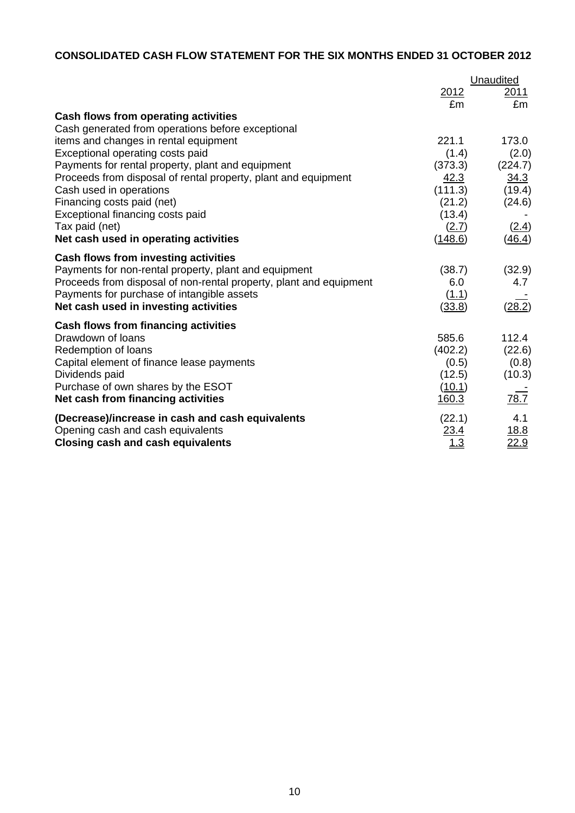# **CONSOLIDATED CASH FLOW STATEMENT FOR THE SIX MONTHS ENDED 31 OCTOBER 2012**

|                                                                    | <b>Unaudited</b>   |                     |  |
|--------------------------------------------------------------------|--------------------|---------------------|--|
|                                                                    | <u> 2012</u><br>£m | <u> 2011 </u><br>£m |  |
| <b>Cash flows from operating activities</b>                        |                    |                     |  |
| Cash generated from operations before exceptional                  |                    |                     |  |
| items and changes in rental equipment                              | 221.1              | 173.0               |  |
| Exceptional operating costs paid                                   | (1.4)              | (2.0)               |  |
| Payments for rental property, plant and equipment                  | (373.3)            | (224.7)             |  |
| Proceeds from disposal of rental property, plant and equipment     | 42.3               | 34.3                |  |
| Cash used in operations                                            | (111.3)            | (19.4)              |  |
| Financing costs paid (net)                                         | (21.2)             | (24.6)              |  |
| Exceptional financing costs paid                                   | (13.4)             |                     |  |
| Tax paid (net)                                                     | (2.7)              | (2.4)               |  |
| Net cash used in operating activities                              | (148.6)            | (46.4)              |  |
| <b>Cash flows from investing activities</b>                        |                    |                     |  |
| Payments for non-rental property, plant and equipment              | (38.7)             | (32.9)              |  |
| Proceeds from disposal of non-rental property, plant and equipment | 6.0                | 4.7                 |  |
| Payments for purchase of intangible assets                         | (1.1)              |                     |  |
| Net cash used in investing activities                              | (33.8)             | (28.2)              |  |
| Cash flows from financing activities                               |                    |                     |  |
| Drawdown of loans                                                  | 585.6              | 112.4               |  |
| Redemption of loans                                                | (402.2)            | (22.6)              |  |
| Capital element of finance lease payments                          | (0.5)              | (0.8)               |  |
| Dividends paid                                                     | (12.5)             | (10.3)              |  |
| Purchase of own shares by the ESOT                                 | (10.1)             |                     |  |
| Net cash from financing activities                                 | 160.3              | 78.7                |  |
| (Decrease)/increase in cash and cash equivalents                   | (22.1)             | 4.1                 |  |
| Opening cash and cash equivalents                                  | 23.4               | 18.8                |  |
| Closing cash and cash equivalents                                  | <u> 1.3</u>        | 22.9                |  |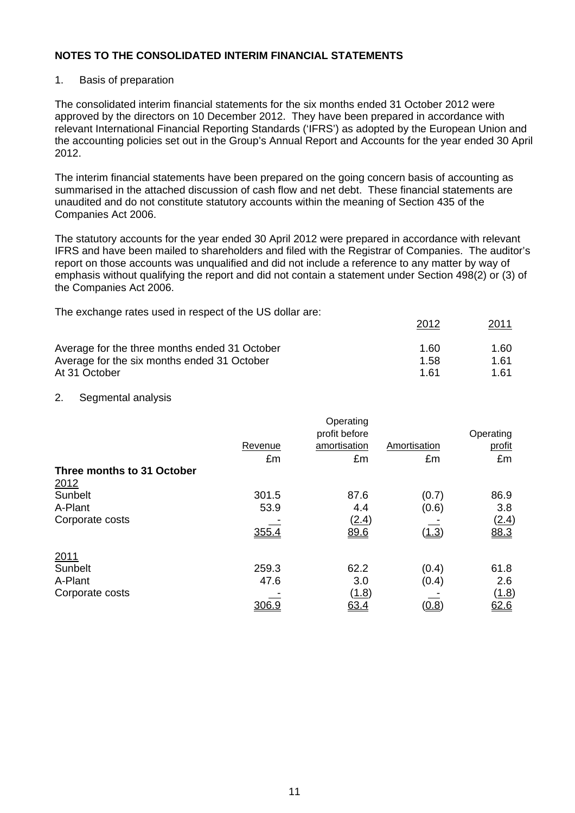#### 1. Basis of preparation

The consolidated interim financial statements for the six months ended 31 October 2012 were approved by the directors on 10 December 2012. They have been prepared in accordance with relevant International Financial Reporting Standards ('IFRS') as adopted by the European Union and the accounting policies set out in the Group's Annual Report and Accounts for the year ended 30 April 2012.

The interim financial statements have been prepared on the going concern basis of accounting as summarised in the attached discussion of cash flow and net debt. These financial statements are unaudited and do not constitute statutory accounts within the meaning of Section 435 of the Companies Act 2006.

The statutory accounts for the year ended 30 April 2012 were prepared in accordance with relevant IFRS and have been mailed to shareholders and filed with the Registrar of Companies. The auditor's report on those accounts was unqualified and did not include a reference to any matter by way of emphasis without qualifying the report and did not contain a statement under Section 498(2) or (3) of the Companies Act 2006.

2012 2011

The exchange rates used in respect of the US dollar are:

|                                               |      | <u>________</u> |
|-----------------------------------------------|------|-----------------|
| Average for the three months ended 31 October | 1.60 | 1.60            |
| Average for the six months ended 31 October   | 1.58 | 1.61            |
| At 31 October                                 | 1 61 | 1.61            |

#### 2. Segmental analysis

|                            |         | Operating     |              |              |
|----------------------------|---------|---------------|--------------|--------------|
|                            |         | profit before |              | Operating    |
|                            | Revenue | amortisation  | Amortisation | profit       |
|                            | £m      | £m            | £m           | £m           |
| Three months to 31 October |         |               |              |              |
| 2012                       |         |               |              |              |
| Sunbelt                    | 301.5   | 87.6          | (0.7)        | 86.9         |
| A-Plant                    | 53.9    | 4.4           | (0.6)        | 3.8          |
| Corporate costs            |         | (2.4)         |              | (2.4)        |
|                            | 355.4   | 89.6          | (1.3)        | 88.3         |
| 2011                       |         |               |              |              |
| Sunbelt                    | 259.3   | 62.2          | (0.4)        | 61.8         |
| A-Plant                    | 47.6    | 3.0           | (0.4)        | 2.6          |
| Corporate costs            |         | (1.8)         |              | <u>(1.8)</u> |
|                            | 306.9   | 63.4          | (0.8)        | 62.6         |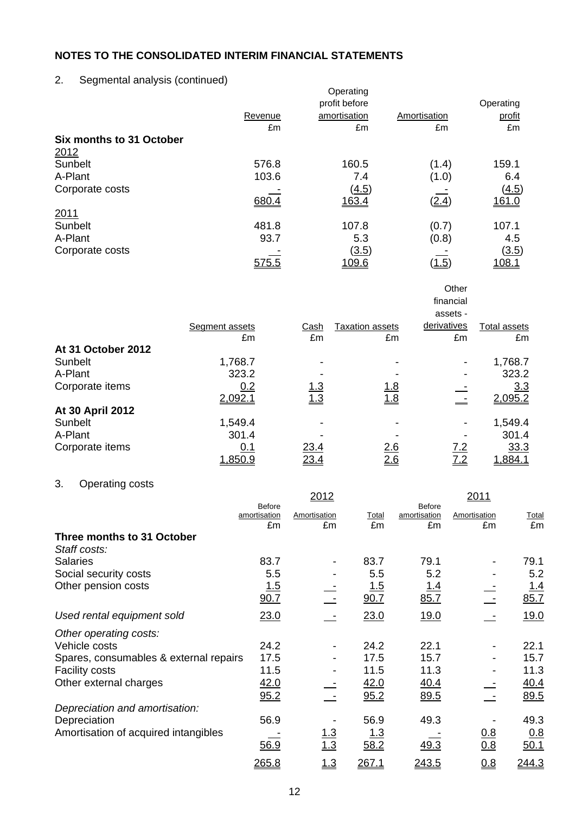# 2. Segmental analysis (continued)

| ັ<br>╯                   | $\epsilon$ | Operating<br>profit before |              | Operating    |
|--------------------------|------------|----------------------------|--------------|--------------|
|                          | Revenue    | amortisation               | Amortisation | profit       |
|                          | £m         | £m                         | £m           | £m           |
| Six months to 31 October |            |                            |              |              |
| 2012                     |            |                            |              |              |
| Sunbelt                  | 576.8      | 160.5                      | (1.4)        | 159.1        |
| A-Plant                  | 103.6      | 7.4                        | (1.0)        | 6.4          |
| Corporate costs          |            | (4.5)                      |              | <u>(4.5)</u> |
|                          | 680.4      | 163.4                      | (2.4)        | 161.0        |
| 2011                     |            |                            |              |              |
| Sunbelt                  | 481.8      | 107.8                      | (0.7)        | 107.1        |
| A-Plant                  | 93.7       | 5.3                        | (0.8)        | 4.5          |
| Corporate costs          |            | <u>(3.5)</u>               |              | (3.5)        |
|                          | 575.5      | 109.6                      | (1.5)        | 108.1        |

|                    |                |             |                        | assets -                 |                |
|--------------------|----------------|-------------|------------------------|--------------------------|----------------|
|                    | Segment assets | Cash        | <b>Taxation assets</b> | derivatives              | Total assets   |
|                    | £m             | £m          | £m                     | £m                       | £m             |
| At 31 October 2012 |                |             |                        |                          |                |
| Sunbelt            | 1,768.7        |             |                        | $\overline{\phantom{a}}$ | 1,768.7        |
| A-Plant            | 323.2          |             |                        | $\overline{\phantom{0}}$ | 323.2          |
| Corporate items    | 0.2            | <u>1.3</u>  | <u>1.8</u>             |                          | 3.3            |
|                    | 2,092.         | <u> 1.3</u> | 1.8                    |                          | 2,095.2        |
| At 30 April 2012   |                |             |                        |                          |                |
| Sunbelt            | 1,549.4        |             |                        | $\overline{\phantom{a}}$ | 1,549.4        |
| A-Plant            | 301.4          |             |                        |                          | 301.4          |
| Corporate items    | <u>0.1</u>     | <u>23.4</u> | 2.6                    | <u>7.2</u>               | 33.3           |
|                    | 1,850.9        | <u>23.4</u> | 2.6                    | <u>7.2</u>               | <u>1,884.1</u> |

**Other** financial

# 3. Operating costs

|                                        |                               | 2012               |                     |                                     | 2011               |                    |
|----------------------------------------|-------------------------------|--------------------|---------------------|-------------------------------------|--------------------|--------------------|
|                                        | <b>Before</b><br>amortisation | Amortisation<br>£m | <b>Total</b><br>£m  | <b>Before</b><br>amortisation<br>£m | Amortisation<br>£m | <b>Total</b><br>£m |
| Three months to 31 October             | £m                            |                    |                     |                                     |                    |                    |
| Staff costs:                           |                               |                    |                     |                                     |                    |                    |
| <b>Salaries</b>                        | 83.7                          |                    | 83.7                | 79.1                                |                    | 79.1               |
| Social security costs                  | 5.5                           |                    | 5.5                 | 5.2                                 |                    | 5.2                |
| Other pension costs                    | <u> 1.5</u><br>90.7           |                    | <u>1.5</u><br>90.7  | <u> 1.4</u><br>85.7                 |                    | <u>1.4</u><br>85.7 |
| Used rental equipment sold             | 23.0                          |                    | 23.0                | 19.0                                |                    | 19.0               |
| Other operating costs:                 |                               |                    |                     |                                     |                    |                    |
| Vehicle costs                          | 24.2                          |                    | 24.2                | 22.1                                |                    | 22.1               |
| Spares, consumables & external repairs | 17.5                          |                    | 17.5                | 15.7                                |                    | 15.7               |
| <b>Facility costs</b>                  | 11.5                          |                    | 11.5                | 11.3                                |                    | 11.3               |
| Other external charges                 | 42.0                          |                    | 42.0                | 40.4                                |                    | 40.4               |
|                                        | 95.2                          |                    | 95.2                | 89.5                                |                    | 89.5               |
| Depreciation and amortisation:         |                               |                    |                     |                                     |                    |                    |
| Depreciation                           | 56.9                          |                    | 56.9                | 49.3                                |                    | 49.3               |
| Amortisation of acquired intangibles   | 56.9                          | $\frac{1.3}{1.3}$  | <u> 1.3</u><br>58.2 | 49.3                                | 0.8<br>0.8         | 0.8<br>50.1        |
|                                        | 265.8                         | 1.3                | <u> 267.1</u>       | <u> 243.5</u>                       | 0.8                | <u> 244.3</u>      |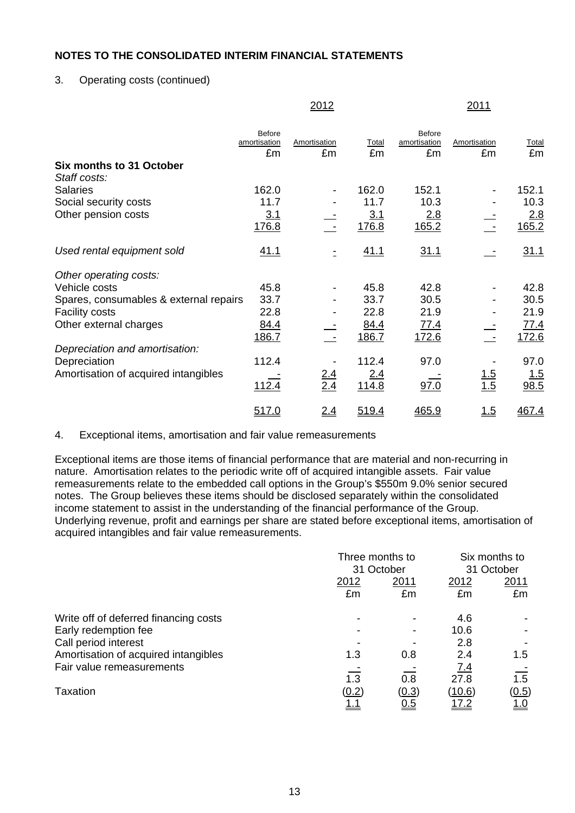### 3. Operating costs (continued)

|                                          |                                     | 2012               |              |                              | 2011               |             |
|------------------------------------------|-------------------------------------|--------------------|--------------|------------------------------|--------------------|-------------|
|                                          | <b>Before</b><br>amortisation<br>£m | Amortisation<br>£m | Total<br>£m  | Before<br>amortisation<br>£m | Amortisation<br>£m | Total<br>£m |
| Six months to 31 October<br>Staff costs: |                                     |                    |              |                              |                    |             |
| <b>Salaries</b>                          | 162.0                               |                    | 162.0        | 152.1                        |                    | 152.1       |
| Social security costs                    | 11.7                                |                    | 11.7         | 10.3                         |                    | 10.3        |
| Other pension costs                      | 3.1                                 |                    | 3.1          | 2.8                          |                    | 2.8         |
|                                          | 176.8                               |                    | 176.8        | 165.2                        |                    | 165.2       |
| Used rental equipment sold               | 41.1                                | $\equiv$           | 41.1         | 31.1                         |                    | 31.1        |
| Other operating costs:                   |                                     |                    |              |                              |                    |             |
| Vehicle costs                            | 45.8                                |                    | 45.8         | 42.8                         |                    | 42.8        |
| Spares, consumables & external repairs   | 33.7                                |                    | 33.7         | 30.5                         |                    | 30.5        |
| <b>Facility costs</b>                    | 22.8                                |                    | 22.8         | 21.9                         |                    | 21.9        |
| Other external charges                   | 84.4                                |                    | 84.4         | <u>77.4</u>                  |                    | <u>77.4</u> |
|                                          | 186.7                               |                    | 186.7        | 172.6                        |                    | 172.6       |
| Depreciation and amortisation:           |                                     |                    |              |                              |                    |             |
| Depreciation                             | 112.4                               |                    | 112.4        | 97.0                         |                    | 97.0        |
| Amortisation of acquired intangibles     |                                     | $\frac{2.4}{2.4}$  | 2.4          |                              | $\frac{1.5}{1.5}$  | <u> 1.5</u> |
|                                          | 112.4                               |                    | <u>114.8</u> | 97.0                         |                    | 98.5        |
|                                          | 517.0                               | 2.4                | 519.4        | 465.9                        | 1.5                | 467.4       |

#### 4. Exceptional items, amortisation and fair value remeasurements

Exceptional items are those items of financial performance that are material and non-recurring in nature. Amortisation relates to the periodic write off of acquired intangible assets. Fair value remeasurements relate to the embedded call options in the Group's \$550m 9.0% senior secured notes. The Group believes these items should be disclosed separately within the consolidated income statement to assist in the understanding of the financial performance of the Group. Underlying revenue, profit and earnings per share are stated before exceptional items, amortisation of acquired intangibles and fair value remeasurements.

|                                       | Three months to<br>31 October |            | Six months to |            |
|---------------------------------------|-------------------------------|------------|---------------|------------|
|                                       |                               |            |               | 31 October |
|                                       | 2012                          | 2011       | 2012          | 2011       |
|                                       | £m                            | £m         | £m            | £m         |
| Write off of deferred financing costs |                               |            | 4.6           |            |
| Early redemption fee                  |                               |            | 10.6          |            |
| Call period interest                  |                               |            | 2.8           |            |
| Amortisation of acquired intangibles  | 1.3                           | 0.8        | 2.4           | 1.5        |
| Fair value remeasurements             |                               |            | <u>7.4</u>    |            |
|                                       | 1.3                           | 0.8        | 27.8          | 1.5        |
| Taxation                              | (0.2)                         | (0.3)      | (10.6)        | (0.5)      |
|                                       | <u>1.1</u>                    | <u>0.5</u> | <u>17.2</u>   | <u>1.0</u> |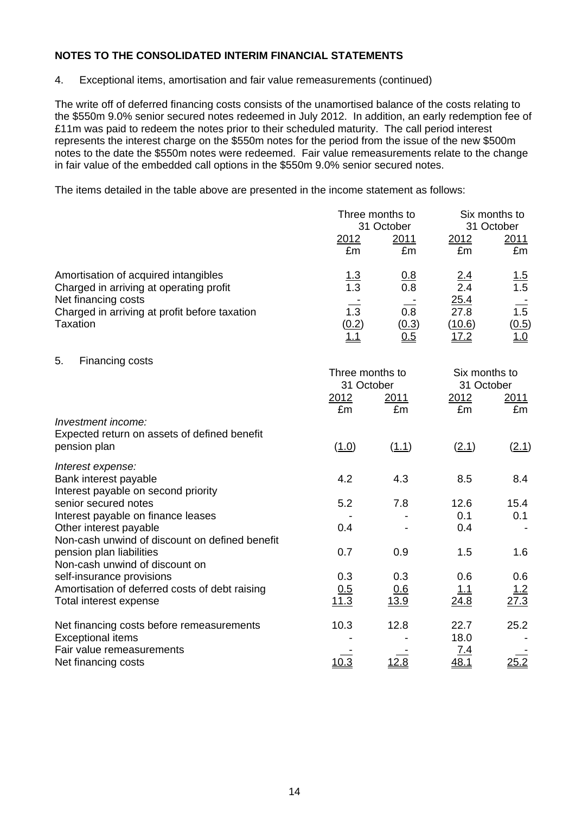4. Exceptional items, amortisation and fair value remeasurements (continued)

The write off of deferred financing costs consists of the unamortised balance of the costs relating to the \$550m 9.0% senior secured notes redeemed in July 2012. In addition, an early redemption fee of £11m was paid to redeem the notes prior to their scheduled maturity. The call period interest represents the interest charge on the \$550m notes for the period from the issue of the new \$500m notes to the date the \$550m notes were redeemed. Fair value remeasurements relate to the change in fair value of the embedded call options in the \$550m 9.0% senior secured notes.

The items detailed in the table above are presented in the income statement as follows:

|                                               | Three months to<br>31 October |            | Six months to<br>31 October |             |
|-----------------------------------------------|-------------------------------|------------|-----------------------------|-------------|
|                                               |                               |            |                             |             |
|                                               | 2012                          | 2011       | 2012                        | 2011        |
|                                               | £m                            | £m         | £m                          | £m          |
| Amortisation of acquired intangibles          | <u>1.3</u>                    | <u>0.8</u> | <u>2.4</u>                  | <u> 1.5</u> |
| Charged in arriving at operating profit       | 1.3                           | 0.8        | 2.4                         | 1.5         |
| Net financing costs                           |                               |            | 25.4                        |             |
| Charged in arriving at profit before taxation | 1.3                           | 0.8        | 27.8                        | 1.5         |
| Taxation                                      | (0.2)                         | (0.3)      | (10.6)                      | (0.5)       |
|                                               | <u>1.1</u>                    | <u>0.5</u> | <u> 17.2</u>                | <u> 1.0</u> |

5. Financing costs

|                                                                                    | Three months to<br>31 October |                    | Six months to<br>31 October |                   |
|------------------------------------------------------------------------------------|-------------------------------|--------------------|-----------------------------|-------------------|
|                                                                                    | 2012<br>£m                    | <u> 2011</u><br>£m | <u>2012</u><br>£m           | <u>2011</u><br>£m |
| Investment income:<br>Expected return on assets of defined benefit<br>pension plan | (1.0)                         | (1.1)              | (2.1)                       | (2.1)             |
| Interest expense:                                                                  |                               |                    |                             |                   |
| Bank interest payable<br>Interest payable on second priority                       | 4.2                           | 4.3                | 8.5                         | 8.4               |
| senior secured notes                                                               | 5.2                           | 7.8                | 12.6                        | 15.4              |
| Interest payable on finance leases                                                 |                               |                    | 0.1                         | 0.1               |
| Other interest payable<br>Non-cash unwind of discount on defined benefit           | 0.4                           |                    | 0.4                         |                   |
| pension plan liabilities<br>Non-cash unwind of discount on                         | 0.7                           | 0.9                | 1.5                         | 1.6               |
| self-insurance provisions                                                          | 0.3                           | 0.3                | 0.6                         | 0.6               |
| Amortisation of deferred costs of debt raising                                     | 0.5<br>11.3                   | 0.6                | <u>1.1</u>                  | <u>1.2</u>        |
| Total interest expense                                                             |                               | 13.9               | 24.8                        | 27.3              |
| Net financing costs before remeasurements                                          | 10.3                          | 12.8               | 22.7                        | 25.2              |
| <b>Exceptional items</b>                                                           |                               |                    | 18.0                        |                   |
| Fair value remeasurements<br>Net financing costs                                   | 10.3                          | 2.8                | <u>7.4</u><br><u>48.1</u>   | <u>25.2</u>       |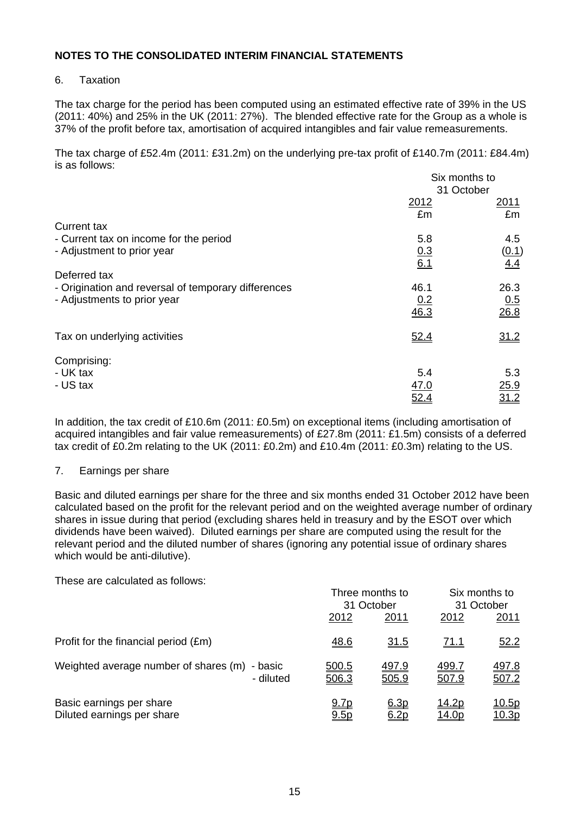#### 6. Taxation

The tax charge for the period has been computed using an estimated effective rate of 39% in the US (2011: 40%) and 25% in the UK (2011: 27%). The blended effective rate for the Group as a whole is 37% of the profit before tax, amortisation of acquired intangibles and fair value remeasurements.

The tax charge of £52.4m (2011: £31.2m) on the underlying pre-tax profit of £140.7m (2011: £84.4m) is as follows:

|                                                     | Six months to      |                    |
|-----------------------------------------------------|--------------------|--------------------|
|                                                     | 31 October         |                    |
|                                                     | 2012               | 2011               |
|                                                     | £m                 | £m                 |
| <b>Current tax</b>                                  |                    |                    |
| - Current tax on income for the period              | 5.8                | 4.5                |
| - Adjustment to prior year                          |                    | (0.1)              |
|                                                     | $\frac{0.3}{6.1}$  | 4.4                |
| Deferred tax                                        |                    |                    |
| - Origination and reversal of temporary differences | 46.1               | 26.3               |
|                                                     |                    |                    |
| - Adjustments to prior year                         | $\frac{0.2}{46.3}$ | $\frac{0.5}{26.8}$ |
|                                                     |                    |                    |
|                                                     |                    |                    |
| Tax on underlying activities                        | 52.4               | 31.2               |
|                                                     |                    |                    |
| Comprising:                                         |                    |                    |
| - UK tax                                            | 5.4                | 5.3                |
| - US tax                                            | <u>47.0</u>        | <u>25.9</u>        |
|                                                     | 52.4               | <u>31.2</u>        |

In addition, the tax credit of £10.6m (2011: £0.5m) on exceptional items (including amortisation of acquired intangibles and fair value remeasurements) of £27.8m (2011: £1.5m) consists of a deferred tax credit of £0.2m relating to the UK (2011: £0.2m) and £10.4m (2011: £0.3m) relating to the US.

#### 7. Earnings per share

Basic and diluted earnings per share for the three and six months ended 31 October 2012 have been calculated based on the profit for the relevant period and on the weighted average number of ordinary shares in issue during that period (excluding shares held in treasury and by the ESOT over which dividends have been waived). Diluted earnings per share are computed using the result for the relevant period and the diluted number of shares (ignoring any potential issue of ordinary shares which would be anti-dilutive).

These are calculated as follows:

|                                                            |                     | Three months to<br>31 October |                              | Six months to<br>31 October   |  |
|------------------------------------------------------------|---------------------|-------------------------------|------------------------------|-------------------------------|--|
|                                                            | 2012                | 2011                          | 2012                         | 2011                          |  |
| Profit for the financial period (£m)                       | <u>48.6</u>         | <u>31.5</u>                   | <u>71.1</u>                  | <u>52.2</u>                   |  |
| Weighted average number of shares (m) - basic<br>- diluted | 500.5<br>506.3      | 497.9<br>505.9                | <u>499.7</u><br>507.9        | 497.8<br>507.2                |  |
| Basic earnings per share<br>Diluted earnings per share     | <u>9.7p</u><br>9.5p | 6.3p<br>6.2p                  | <u>14.2p</u><br><u>14.0p</u> | <u> 10.5p</u><br><u>10.3p</u> |  |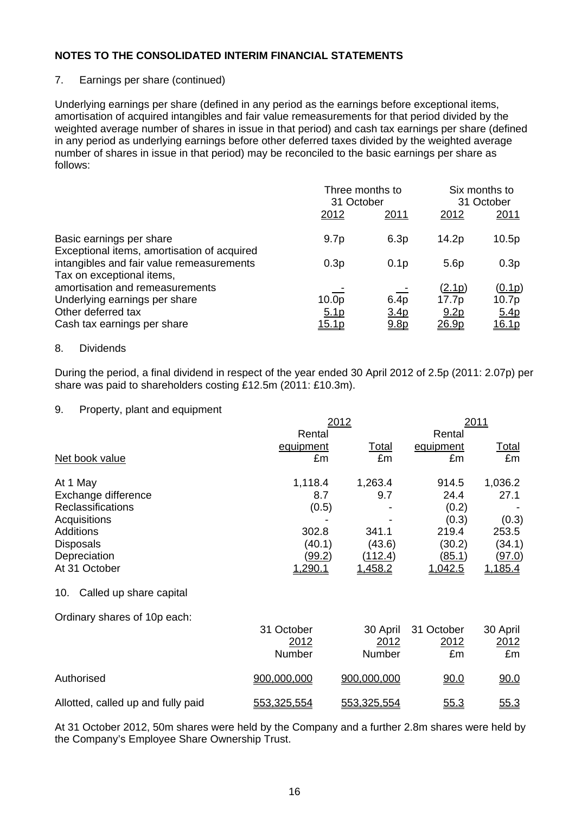#### 7. Earnings per share (continued)

Underlying earnings per share (defined in any period as the earnings before exceptional items, amortisation of acquired intangibles and fair value remeasurements for that period divided by the weighted average number of shares in issue in that period) and cash tax earnings per share (defined in any period as underlying earnings before other deferred taxes divided by the weighted average number of shares in issue in that period) may be reconciled to the basic earnings per share as follows:

|                                                                                                                       | Three months to<br>31 October                         |                                              | Six months to<br>31 October                         |                                         |
|-----------------------------------------------------------------------------------------------------------------------|-------------------------------------------------------|----------------------------------------------|-----------------------------------------------------|-----------------------------------------|
|                                                                                                                       | 2012                                                  | 2011                                         | 2012                                                | 2011                                    |
| Basic earnings per share<br>Exceptional items, amortisation of acquired                                               | 9.7 <sub>p</sub>                                      | 6.3p                                         | 14.2 <sub>p</sub>                                   | 10.5p                                   |
| intangibles and fair value remeasurements<br>Tax on exceptional items,                                                | 0.3p                                                  | 0.1 <sub>p</sub>                             | 5.6 <sub>p</sub>                                    | 0.3p                                    |
| amortisation and remeasurements<br>Underlying earnings per share<br>Other deferred tax<br>Cash tax earnings per share | 10.0 <sub>p</sub><br>5.1 <sub>p</sub><br><u>15.1p</u> | 6.4p<br>3.4 <sub>p</sub><br>9.8 <sub>p</sub> | <u>(2.1p)</u><br>17.7p<br>9.2 <sub>p</sub><br>26.9p | (0.1p)<br>10.7p<br>5.4p<br><u>16.1p</u> |

#### 8. Dividends

During the period, a final dividend in respect of the year ended 30 April 2012 of 2.5p (2011: 2.07p) per share was paid to shareholders costing £12.5m (2011: £10.3m).

#### 9. Property, plant and equipment

|                                    | 2012           | 2011           |               |               |
|------------------------------------|----------------|----------------|---------------|---------------|
|                                    | Rental         |                | Rental        |               |
|                                    | equipment      | Total          | equipment     | <u>Total</u>  |
| Net book value                     | £m             | £m             | £m            | £m            |
| At 1 May                           | 1,118.4        | 1,263.4        | 914.5         | 1,036.2       |
| Exchange difference                | 8.7            | 9.7            | 24.4          | 27.1          |
| <b>Reclassifications</b>           | (0.5)          |                | (0.2)         |               |
| Acquisitions                       |                |                | (0.3)         | (0.3)         |
| <b>Additions</b>                   | 302.8          | 341.1          | 219.4         | 253.5         |
| <b>Disposals</b>                   | (40.1)         | (43.6)         | (30.2)        | (34.1)        |
| Depreciation                       | <u>(99.2)</u>  | <u>(112.4)</u> | <u>(85.1)</u> | <u>(97.0)</u> |
| At 31 October                      | <u>1,290.1</u> | <u>1,458.2</u> | 1,042.5       | 1,185.4       |
| Called up share capital<br>10.     |                |                |               |               |
| Ordinary shares of 10p each:       |                |                |               |               |
|                                    | 31 October     | 30 April       | 31 October    | 30 April      |
|                                    | 2012           | 2012           | 2012          | 2012          |
|                                    | Number         | Number         | £m            | £m            |
| Authorised                         | 900,000,000    | 900,000,000    | 90.0          | 90.0          |
| Allotted, called up and fully paid | 553,325,554    | 553,325,554    | 55.3          | 55.3          |

At 31 October 2012, 50m shares were held by the Company and a further 2.8m shares were held by the Company's Employee Share Ownership Trust.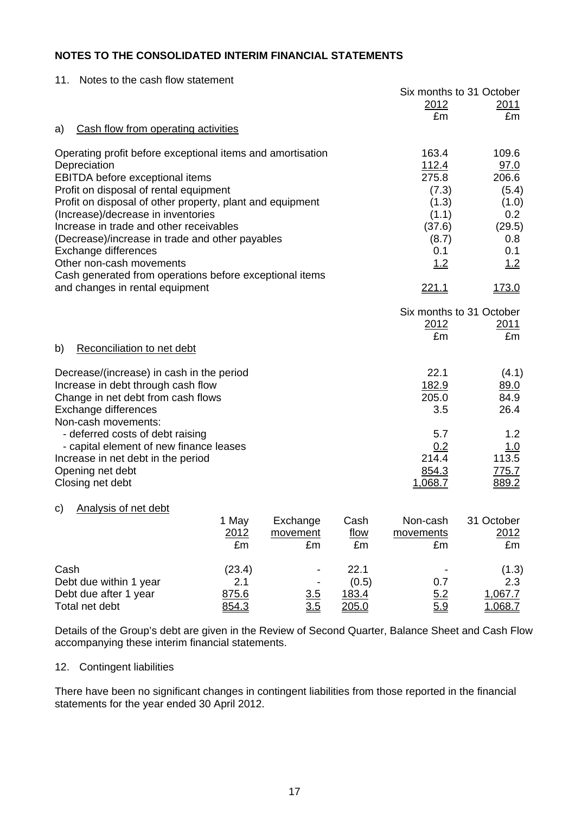| 11. Notes to the cash flow statement |
|--------------------------------------|
|                                      |

|                                                                               |        |          |             |                 | Six months to 31 October |
|-------------------------------------------------------------------------------|--------|----------|-------------|-----------------|--------------------------|
|                                                                               |        |          |             | 2012            | 2011                     |
|                                                                               |        |          |             | £m              | £m                       |
| Cash flow from operating activities<br>a)                                     |        |          |             |                 |                          |
| Operating profit before exceptional items and amortisation                    |        |          |             | 163.4           | 109.6                    |
| Depreciation                                                                  |        |          |             | 112.4           | 97.0                     |
| <b>EBITDA</b> before exceptional items                                        |        |          |             | 275.8           | 206.6                    |
| Profit on disposal of rental equipment                                        |        |          | (7.3)       | (5.4)           |                          |
| Profit on disposal of other property, plant and equipment                     |        |          |             | (1.3)           | (1.0)                    |
| (Increase)/decrease in inventories<br>Increase in trade and other receivables |        |          |             | (1.1)<br>(37.6) | 0.2<br>(29.5)            |
| (Decrease)/increase in trade and other payables                               |        |          |             | (8.7)           | 0.8                      |
| Exchange differences                                                          |        |          |             | 0.1             | 0.1                      |
| Other non-cash movements                                                      |        |          |             | <u>1.2</u>      | 1.2                      |
| Cash generated from operations before exceptional items                       |        |          |             |                 |                          |
| and changes in rental equipment                                               |        |          |             | <u> 221.1</u>   | <u>173.0</u>             |
|                                                                               |        |          |             |                 | Six months to 31 October |
|                                                                               |        |          |             | <u>2012</u>     | <u> 2011 </u>            |
|                                                                               |        |          |             | £m              | £m                       |
| Reconciliation to net debt<br>b)                                              |        |          |             |                 |                          |
| Decrease/(increase) in cash in the period                                     |        |          |             | 22.1            | (4.1)                    |
| Increase in debt through cash flow                                            |        |          |             | 182.9           | 89.0                     |
| Change in net debt from cash flows                                            |        |          |             | 205.0           | 84.9                     |
| Exchange differences                                                          |        |          |             | 3.5             | 26.4                     |
| Non-cash movements:                                                           |        |          |             |                 |                          |
| - deferred costs of debt raising                                              |        |          |             | 5.7             | 1.2                      |
| - capital element of new finance leases                                       |        |          |             | 0.2             | 1.0                      |
| Increase in net debt in the period                                            |        |          |             | 214.4           | 113.5                    |
| Opening net debt                                                              |        |          |             | 854.3           | 775.7                    |
| Closing net debt                                                              |        |          |             | 1,068.7         | 889.2                    |
| <b>Analysis of net debt</b><br>C)                                             |        |          |             |                 |                          |
|                                                                               | 1 May  | Exchange | Cash        | Non-cash        | 31 October               |
|                                                                               | 2012   | movement | <u>flow</u> | movements       | 2012                     |
|                                                                               | £m     | £m       | £m          | £m              | £m                       |
| Cash                                                                          | (23.4) |          | 22.1        |                 | (1.3)                    |
| Debt due within 1 year                                                        | 2.1    |          | (0.5)       | 0.7             | 2.3                      |
| Debt due after 1 year                                                         | 875.6  | 3.5      | 183.4       | 5.2             | 1,067.7                  |
| Total net debt                                                                | 854.3  | 3.5      | 205.0       | 5.9             | 1.068.7                  |

Details of the Group's debt are given in the Review of Second Quarter, Balance Sheet and Cash Flow accompanying these interim financial statements.

#### 12. Contingent liabilities

There have been no significant changes in contingent liabilities from those reported in the financial statements for the year ended 30 April 2012.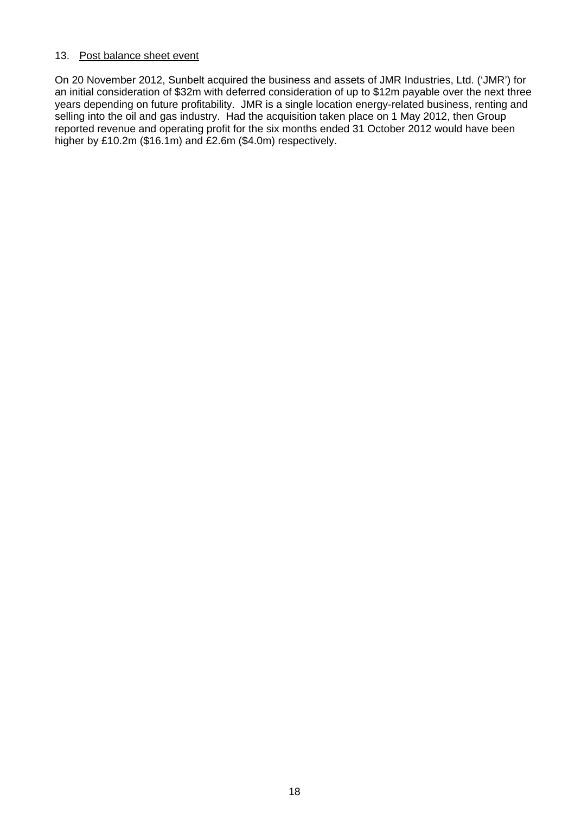#### 13. Post balance sheet event

On 20 November 2012, Sunbelt acquired the business and assets of JMR Industries, Ltd. ('JMR') for an initial consideration of \$32m with deferred consideration of up to \$12m payable over the next three years depending on future profitability. JMR is a single location energy-related business, renting and selling into the oil and gas industry. Had the acquisition taken place on 1 May 2012, then Group reported revenue and operating profit for the six months ended 31 October 2012 would have been higher by £10.2m (\$16.1m) and £2.6m (\$4.0m) respectively.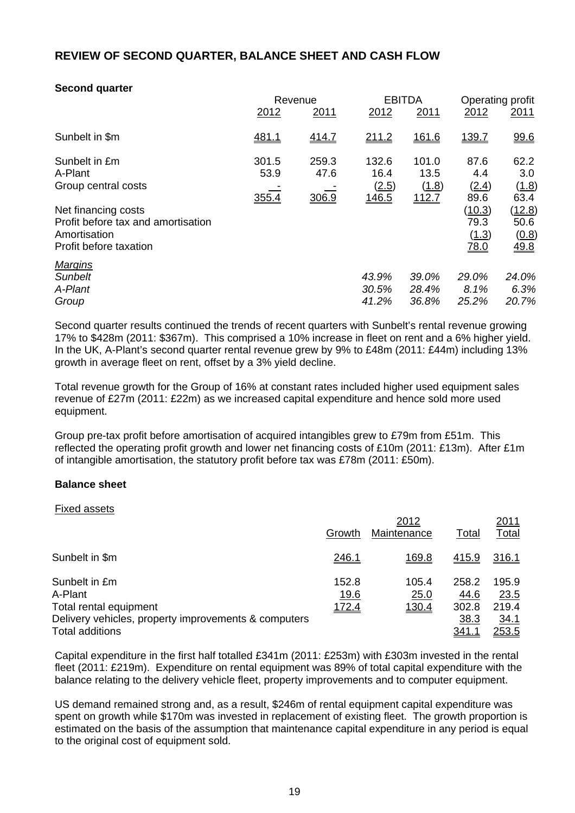### **REVIEW OF SECOND QUARTER, BALANCE SHEET AND CASH FLOW**

### **Second quarter**

|                                    | Revenue      |              | <b>EBITDA</b> |              | Operating profit |             |
|------------------------------------|--------------|--------------|---------------|--------------|------------------|-------------|
|                                    | 2012         | 2011         | 2012          | 2011         | 2012             | <u>2011</u> |
| Sunbelt in \$m                     | <u>481.1</u> | <u>414.7</u> | <u>211.2</u>  | <u>161.6</u> | <u>139.7</u>     | 99.6        |
| Sunbelt in £m                      | 301.5        | 259.3        | 132.6         | 101.0        | 87.6             | 62.2        |
| A-Plant                            | 53.9         | 47.6         | 16.4          | 13.5         | 4.4              | 3.0         |
| Group central costs                |              |              | (2.5)         | (1.8)        | (2.4)            | (1.8)       |
|                                    | 355.4        | 306.9        | 146.5         | <u>112.7</u> | 89.6             | 63.4        |
| Net financing costs                |              |              |               |              | (10.3)           | (12.8)      |
| Profit before tax and amortisation |              |              |               |              | 79.3             | 50.6        |
| Amortisation                       |              |              |               |              | (1.3)            | (0.8)       |
| Profit before taxation             |              |              |               |              | <u>78.0</u>      | 49.8        |
| <b>Margins</b>                     |              |              |               |              |                  |             |
| <b>Sunbelt</b>                     |              |              | 43.9%         | 39.0%        | 29.0%            | 24.0%       |
| A-Plant                            |              |              | 30.5%         | 28.4%        | 8.1%             | 6.3%        |
| Group                              |              |              | 41.2%         | 36.8%        | 25.2%            | 20.7%       |

Second quarter results continued the trends of recent quarters with Sunbelt's rental revenue growing 17% to \$428m (2011: \$367m). This comprised a 10% increase in fleet on rent and a 6% higher yield. In the UK, A-Plant's second quarter rental revenue grew by 9% to £48m (2011: £44m) including 13% growth in average fleet on rent, offset by a 3% yield decline.

Total revenue growth for the Group of 16% at constant rates included higher used equipment sales revenue of £27m (2011: £22m) as we increased capital expenditure and hence sold more used equipment.

Group pre-tax profit before amortisation of acquired intangibles grew to £79m from £51m. This reflected the operating profit growth and lower net financing costs of £10m (2011: £13m). After £1m of intangible amortisation, the statutory profit before tax was £78m (2011: £50m).

#### **Balance sheet**

| <b>Fixed assets</b>                                                                                        |                               | 2012                   |                                | <u> 2011</u>                          |
|------------------------------------------------------------------------------------------------------------|-------------------------------|------------------------|--------------------------------|---------------------------------------|
|                                                                                                            | Growth                        | Maintenance            | <b>Total</b>                   | <b>Total</b>                          |
| Sunbelt in \$m                                                                                             | <u>246.1</u>                  | 169.8                  | 415.9                          | 316.1                                 |
| Sunbelt in £m<br>A-Plant<br>Total rental equipment<br>Delivery vehicles, property improvements & computers | 152.8<br><u>19.6</u><br>172.4 | 105.4<br>25.0<br>130.4 | 258.2<br>44.6<br>302.8<br>38.3 | 195.9<br>23.5<br>219.4<br><u>34.1</u> |
| <b>Total additions</b>                                                                                     |                               |                        | <u>341.1</u>                   | 253.5                                 |

Capital expenditure in the first half totalled £341m (2011: £253m) with £303m invested in the rental fleet (2011: £219m). Expenditure on rental equipment was 89% of total capital expenditure with the balance relating to the delivery vehicle fleet, property improvements and to computer equipment.

US demand remained strong and, as a result, \$246m of rental equipment capital expenditure was spent on growth while \$170m was invested in replacement of existing fleet. The growth proportion is estimated on the basis of the assumption that maintenance capital expenditure in any period is equal to the original cost of equipment sold.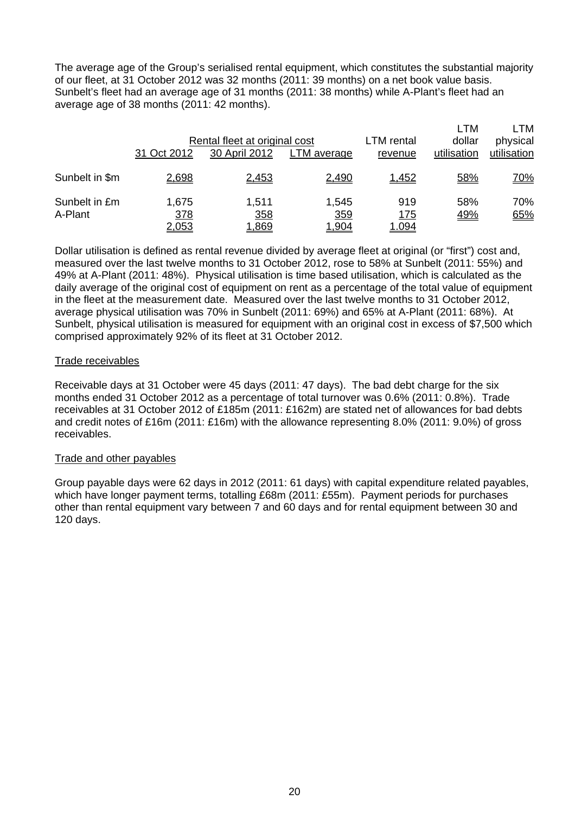The average age of the Group's serialised rental equipment, which constitutes the substantial majority of our fleet, at 31 October 2012 was 32 months (2011: 39 months) on a net book value basis. Sunbelt's fleet had an average age of 31 months (2011: 38 months) while A-Plant's fleet had an average age of 38 months (2011: 42 months).

|                          |                              |                               |                              |                    | LTM               | LTM         |
|--------------------------|------------------------------|-------------------------------|------------------------------|--------------------|-------------------|-------------|
|                          |                              | Rental fleet at original cost |                              |                    | dollar            | physical    |
|                          | 31 Oct 2012                  | 30 April 2012                 | LTM average                  | revenue            | utilisation       | utilisation |
| Sunbelt in \$m           | 2,698                        | 2,453                         | 2,490                        | 1,452              | <u>58%</u>        | <u>70%</u>  |
| Sunbelt in £m<br>A-Plant | 1,675<br>378<br><u>2,053</u> | 1,511<br>358<br><u>1,869</u>  | 1,545<br>359<br><u>904، </u> | 919<br>175<br>.094 | 58%<br><u>49%</u> | 70%<br>65%  |

Dollar utilisation is defined as rental revenue divided by average fleet at original (or "first") cost and, measured over the last twelve months to 31 October 2012, rose to 58% at Sunbelt (2011: 55%) and 49% at A-Plant (2011: 48%). Physical utilisation is time based utilisation, which is calculated as the daily average of the original cost of equipment on rent as a percentage of the total value of equipment in the fleet at the measurement date. Measured over the last twelve months to 31 October 2012, average physical utilisation was 70% in Sunbelt (2011: 69%) and 65% at A-Plant (2011: 68%). At Sunbelt, physical utilisation is measured for equipment with an original cost in excess of \$7,500 which comprised approximately 92% of its fleet at 31 October 2012.

#### Trade receivables

Receivable days at 31 October were 45 days (2011: 47 days). The bad debt charge for the six months ended 31 October 2012 as a percentage of total turnover was 0.6% (2011: 0.8%). Trade receivables at 31 October 2012 of £185m (2011: £162m) are stated net of allowances for bad debts and credit notes of £16m (2011: £16m) with the allowance representing 8.0% (2011: 9.0%) of gross receivables.

#### Trade and other payables

Group payable days were 62 days in 2012 (2011: 61 days) with capital expenditure related payables, which have longer payment terms, totalling £68m (2011: £55m). Payment periods for purchases other than rental equipment vary between 7 and 60 days and for rental equipment between 30 and 120 days.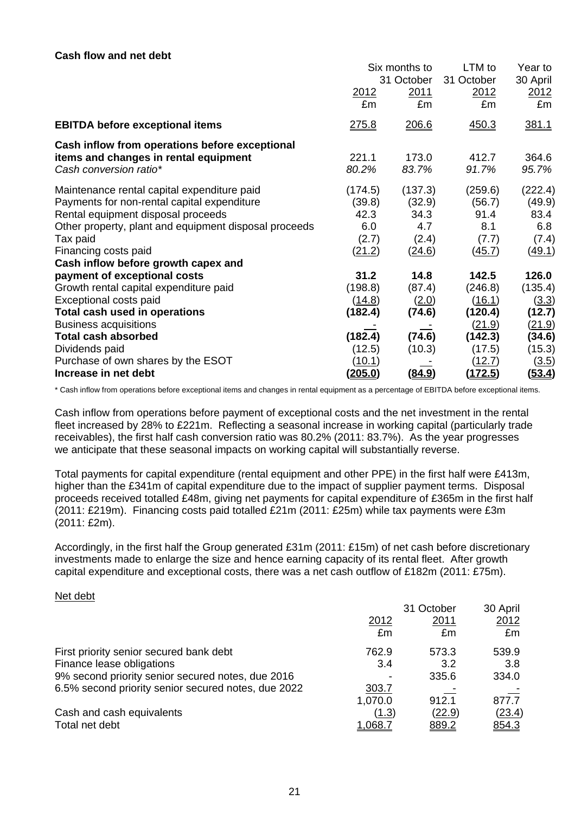#### **Cash flow and net debt**

|                                                                                                                   | Six months to     |                  | LTM to                      | Year to                           |
|-------------------------------------------------------------------------------------------------------------------|-------------------|------------------|-----------------------------|-----------------------------------|
|                                                                                                                   | 31 October        |                  | 31 October                  | 30 April                          |
|                                                                                                                   | 2012              | 2011             | 2012                        | 2012                              |
|                                                                                                                   | £m                | £m               | £m                          | £m                                |
| <b>EBITDA before exceptional items</b>                                                                            | <u>275.8</u>      | 206.6            | 450.3                       | 381.1                             |
| Cash inflow from operations before exceptional<br>items and changes in rental equipment<br>Cash conversion ratio* | 221.1<br>80.2%    | 173.0<br>83.7%   | 412.7<br>91.7%              | 364.6<br>95.7%                    |
| Maintenance rental capital expenditure paid                                                                       | (174.5)           | (137.3)          | (259.6)                     | (222.4)                           |
| Payments for non-rental capital expenditure                                                                       | (39.8)            | (32.9)           | (56.7)                      | (49.9)                            |
| Rental equipment disposal proceeds                                                                                | 42.3              | 34.3             | 91.4                        | 83.4                              |
| Other property, plant and equipment disposal proceeds                                                             | 6.0               | 4.7              | 8.1                         | 6.8                               |
| Tax paid                                                                                                          | (2.7)             | (2.4)            | (7.7)                       | (7.4)                             |
| Financing costs paid<br>Cash inflow before growth capex and                                                       | (21.2)            | (24.6)           | (45.7)                      | (49.1)                            |
| payment of exceptional costs                                                                                      | 31.2              | 14.8             | 142.5                       | 126.0                             |
| Growth rental capital expenditure paid                                                                            | (198.8)           | (87.4)           | (246.8)                     | (135.4)                           |
| Exceptional costs paid<br>Total cash used in operations<br><b>Business acquisitions</b>                           | (14.8)<br>(182.4) | (2.0)<br>(74.6)  | (16.1)<br>(120.4)           | <u>(3.3)</u><br>(12.7)            |
| <b>Total cash absorbed</b><br>Dividends paid                                                                      | (182.4)<br>(12.5) | (74.6)<br>(10.3) | (21.9)<br>(142.3)<br>(17.5) | <u>(21.9)</u><br>(34.6)<br>(15.3) |
| Purchase of own shares by the ESOT                                                                                | (10.1)            | <u>(84.9)</u>    | (12.7)                      | (3.5)                             |
| Increase in net debt                                                                                              | <u>(205.0)</u>    |                  | (172.5)                     | <u>(53.4)</u>                     |

\* Cash inflow from operations before exceptional items and changes in rental equipment as a percentage of EBITDA before exceptional items.

Cash inflow from operations before payment of exceptional costs and the net investment in the rental fleet increased by 28% to £221m. Reflecting a seasonal increase in working capital (particularly trade receivables), the first half cash conversion ratio was 80.2% (2011: 83.7%). As the year progresses we anticipate that these seasonal impacts on working capital will substantially reverse.

Total payments for capital expenditure (rental equipment and other PPE) in the first half were £413m, higher than the £341m of capital expenditure due to the impact of supplier payment terms. Disposal proceeds received totalled £48m, giving net payments for capital expenditure of £365m in the first half (2011: £219m). Financing costs paid totalled £21m (2011: £25m) while tax payments were £3m (2011: £2m).

Accordingly, in the first half the Group generated £31m (2011: £15m) of net cash before discretionary investments made to enlarge the size and hence earning capacity of its rental fleet. After growth capital expenditure and exceptional costs, there was a net cash outflow of £182m (2011: £75m).

#### Net debt

|                                                     |                | 31 October   | 30 April    |
|-----------------------------------------------------|----------------|--------------|-------------|
|                                                     | 2012           | 2011         | <u>2012</u> |
|                                                     | £m             | £m           | £m          |
| First priority senior secured bank debt             | 762.9          | 573.3        | 539.9       |
| Finance lease obligations                           | 3.4            | 3.2          | 3.8         |
| 9% second priority senior secured notes, due 2016   |                | 335.6        | 334.0       |
| 6.5% second priority senior secured notes, due 2022 | 303.7          |              |             |
|                                                     | 1,070.0        | 912.1        | 877.7       |
| Cash and cash equivalents                           | (1.3)          | (22.9)       | (23.4)      |
| Total net debt                                      | <u>1.068.7</u> | <u>889.2</u> | 854.3       |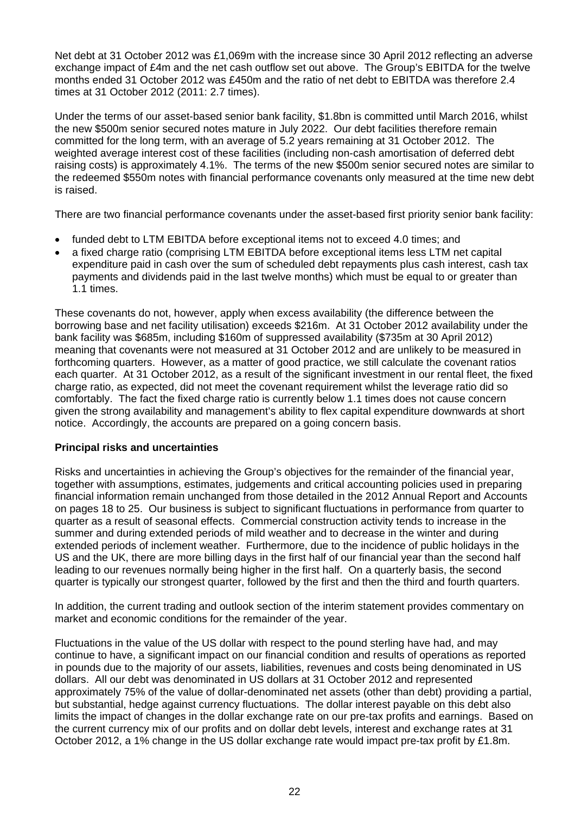Net debt at 31 October 2012 was £1,069m with the increase since 30 April 2012 reflecting an adverse exchange impact of £4m and the net cash outflow set out above. The Group's EBITDA for the twelve months ended 31 October 2012 was £450m and the ratio of net debt to EBITDA was therefore 2.4 times at 31 October 2012 (2011: 2.7 times).

Under the terms of our asset-based senior bank facility, \$1.8bn is committed until March 2016, whilst the new \$500m senior secured notes mature in July 2022. Our debt facilities therefore remain committed for the long term, with an average of 5.2 years remaining at 31 October 2012. The weighted average interest cost of these facilities (including non-cash amortisation of deferred debt raising costs) is approximately 4.1%. The terms of the new \$500m senior secured notes are similar to the redeemed \$550m notes with financial performance covenants only measured at the time new debt is raised.

There are two financial performance covenants under the asset-based first priority senior bank facility:

- funded debt to LTM EBITDA before exceptional items not to exceed 4.0 times; and
- a fixed charge ratio (comprising LTM EBITDA before exceptional items less LTM net capital expenditure paid in cash over the sum of scheduled debt repayments plus cash interest, cash tax payments and dividends paid in the last twelve months) which must be equal to or greater than 1.1 times.

These covenants do not, however, apply when excess availability (the difference between the borrowing base and net facility utilisation) exceeds \$216m. At 31 October 2012 availability under the bank facility was \$685m, including \$160m of suppressed availability (\$735m at 30 April 2012) meaning that covenants were not measured at 31 October 2012 and are unlikely to be measured in forthcoming quarters. However, as a matter of good practice, we still calculate the covenant ratios each quarter. At 31 October 2012, as a result of the significant investment in our rental fleet, the fixed charge ratio, as expected, did not meet the covenant requirement whilst the leverage ratio did so comfortably. The fact the fixed charge ratio is currently below 1.1 times does not cause concern given the strong availability and management's ability to flex capital expenditure downwards at short notice. Accordingly, the accounts are prepared on a going concern basis.

#### **Principal risks and uncertainties**

Risks and uncertainties in achieving the Group's objectives for the remainder of the financial year, together with assumptions, estimates, judgements and critical accounting policies used in preparing financial information remain unchanged from those detailed in the 2012 Annual Report and Accounts on pages 18 to 25. Our business is subject to significant fluctuations in performance from quarter to quarter as a result of seasonal effects. Commercial construction activity tends to increase in the summer and during extended periods of mild weather and to decrease in the winter and during extended periods of inclement weather. Furthermore, due to the incidence of public holidays in the US and the UK, there are more billing days in the first half of our financial year than the second half leading to our revenues normally being higher in the first half. On a quarterly basis, the second quarter is typically our strongest quarter, followed by the first and then the third and fourth quarters.

In addition, the current trading and outlook section of the interim statement provides commentary on market and economic conditions for the remainder of the year.

Fluctuations in the value of the US dollar with respect to the pound sterling have had, and may continue to have, a significant impact on our financial condition and results of operations as reported in pounds due to the majority of our assets, liabilities, revenues and costs being denominated in US dollars. All our debt was denominated in US dollars at 31 October 2012 and represented approximately 75% of the value of dollar-denominated net assets (other than debt) providing a partial, but substantial, hedge against currency fluctuations. The dollar interest payable on this debt also limits the impact of changes in the dollar exchange rate on our pre-tax profits and earnings. Based on the current currency mix of our profits and on dollar debt levels, interest and exchange rates at 31 October 2012, a 1% change in the US dollar exchange rate would impact pre-tax profit by £1.8m.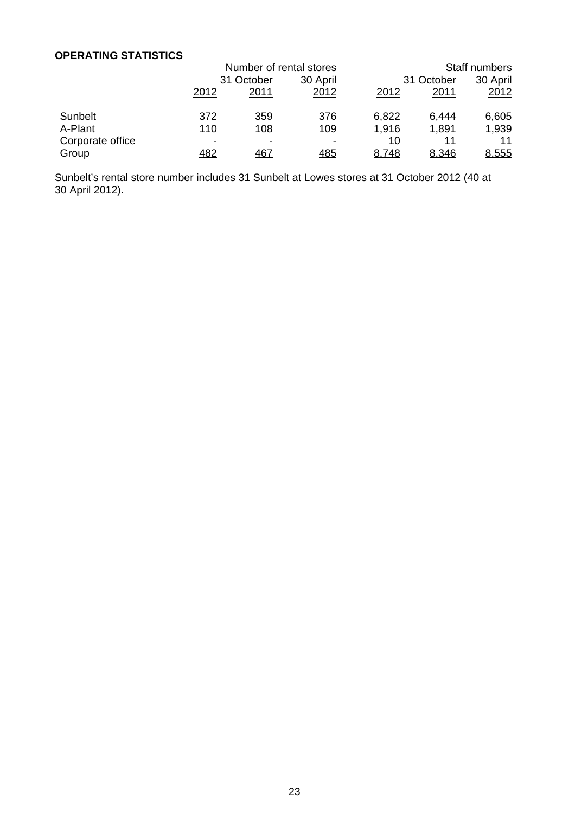#### **OPERATING STATISTICS**

|                  |              | Number of rental stores |            |            | Staff numbers |          |  |
|------------------|--------------|-------------------------|------------|------------|---------------|----------|--|
|                  |              | 31 October              |            | 31 October |               | 30 April |  |
|                  | <u> 2012</u> | 2011                    | 2012       | 2012       | <u>2011</u>   | 2012     |  |
| Sunbelt          | 372          | 359                     | 376        | 6,822      | 6,444         | 6,605    |  |
| A-Plant          | 110          | 108                     | 109        | 1,916      | 1,891         | 1,939    |  |
| Corporate office |              |                         |            | <u> 10</u> | 11            | 11       |  |
| Group            | <u>482</u>   | <u>467</u>              | <u>485</u> | 8,748      | 8.346         | 8,555    |  |

Sunbelt's rental store number includes 31 Sunbelt at Lowes stores at 31 October 2012 (40 at 30 April 2012).